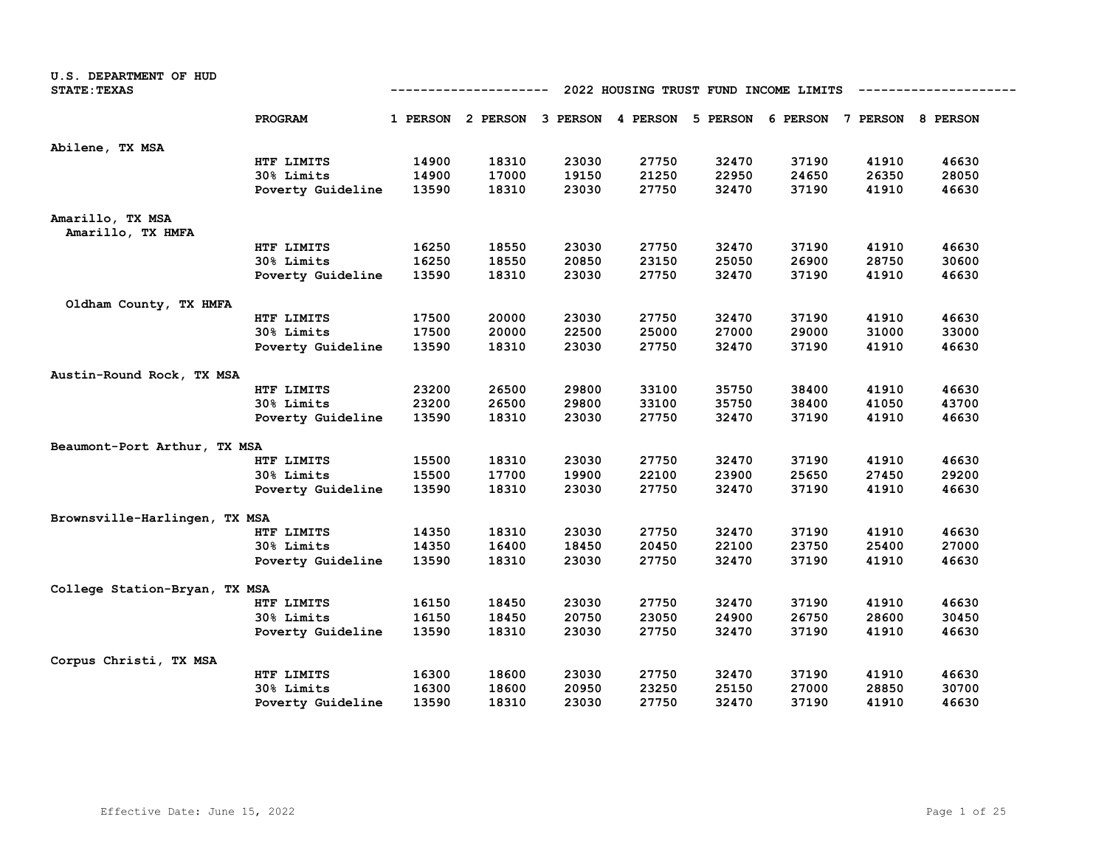| U.S. DEPARTMENT OF HUD<br><b>STATE: TEXAS</b> |                   | 2022 HOUSING TRUST FUND INCOME LIMITS<br>----------- |       |       |       |       |                                                                         |       |       |  |
|-----------------------------------------------|-------------------|------------------------------------------------------|-------|-------|-------|-------|-------------------------------------------------------------------------|-------|-------|--|
|                                               | PROGRAM           |                                                      |       |       |       |       | 1 PERSON 2 PERSON 3 PERSON 4 PERSON 5 PERSON 6 PERSON 7 PERSON 8 PERSON |       |       |  |
| Abilene, TX MSA                               |                   |                                                      |       |       |       |       |                                                                         |       |       |  |
|                                               | HTF LIMITS        | 14900                                                | 18310 | 23030 | 27750 | 32470 | 37190                                                                   | 41910 | 46630 |  |
|                                               | 30% Limits        | 14900                                                | 17000 | 19150 | 21250 | 22950 | 24650                                                                   | 26350 | 28050 |  |
|                                               | Poverty Guideline | 13590                                                | 18310 | 23030 | 27750 | 32470 | 37190                                                                   | 41910 | 46630 |  |
| Amarillo, TX MSA<br>Amarillo, TX HMFA         |                   |                                                      |       |       |       |       |                                                                         |       |       |  |
|                                               | HTF LIMITS        | 16250                                                | 18550 | 23030 | 27750 | 32470 | 37190                                                                   | 41910 | 46630 |  |
|                                               | 30% Limits        | 16250                                                | 18550 | 20850 | 23150 | 25050 | 26900                                                                   | 28750 | 30600 |  |
|                                               | Poverty Guideline | 13590                                                | 18310 | 23030 | 27750 | 32470 | 37190                                                                   | 41910 | 46630 |  |
| Oldham County, TX HMFA                        |                   |                                                      |       |       |       |       |                                                                         |       |       |  |
|                                               | HTF LIMITS        | 17500                                                | 20000 | 23030 | 27750 | 32470 | 37190                                                                   | 41910 | 46630 |  |
|                                               | 30% Limits        | 17500                                                | 20000 | 22500 | 25000 | 27000 | 29000                                                                   | 31000 | 33000 |  |
|                                               | Poverty Guideline | 13590                                                | 18310 | 23030 | 27750 | 32470 | 37190                                                                   | 41910 | 46630 |  |
| Austin-Round Rock, TX MSA                     |                   |                                                      |       |       |       |       |                                                                         |       |       |  |
|                                               | HTF LIMITS        | 23200                                                | 26500 | 29800 | 33100 | 35750 | 38400                                                                   | 41910 | 46630 |  |
|                                               | 30% Limits        | 23200                                                | 26500 | 29800 | 33100 | 35750 | 38400                                                                   | 41050 | 43700 |  |
|                                               | Poverty Guideline | 13590                                                | 18310 | 23030 | 27750 | 32470 | 37190                                                                   | 41910 | 46630 |  |
| Beaumont-Port Arthur, TX MSA                  |                   |                                                      |       |       |       |       |                                                                         |       |       |  |
|                                               | HTF LIMITS        | 15500                                                | 18310 | 23030 | 27750 | 32470 | 37190                                                                   | 41910 | 46630 |  |
|                                               | 30% Limits        | 15500                                                | 17700 | 19900 | 22100 | 23900 | 25650                                                                   | 27450 | 29200 |  |
|                                               | Poverty Guideline | 13590                                                | 18310 | 23030 | 27750 | 32470 | 37190                                                                   | 41910 | 46630 |  |
| Brownsville-Harlingen, TX MSA                 |                   |                                                      |       |       |       |       |                                                                         |       |       |  |
|                                               | HTF LIMITS        | 14350                                                | 18310 | 23030 | 27750 | 32470 | 37190                                                                   | 41910 | 46630 |  |
|                                               | 30% Limits        | 14350                                                | 16400 | 18450 | 20450 | 22100 | 23750                                                                   | 25400 | 27000 |  |
|                                               | Poverty Guideline | 13590                                                | 18310 | 23030 | 27750 | 32470 | 37190                                                                   | 41910 | 46630 |  |
| College Station-Bryan, TX MSA                 |                   |                                                      |       |       |       |       |                                                                         |       |       |  |
|                                               | HTF LIMITS        | 16150                                                | 18450 | 23030 | 27750 | 32470 | 37190                                                                   | 41910 | 46630 |  |
|                                               | 30% Limits        | 16150                                                | 18450 | 20750 | 23050 | 24900 | 26750                                                                   | 28600 | 30450 |  |
|                                               | Poverty Guideline | 13590                                                | 18310 | 23030 | 27750 | 32470 | 37190                                                                   | 41910 | 46630 |  |
| Corpus Christi, TX MSA                        |                   |                                                      |       |       |       |       |                                                                         |       |       |  |
|                                               | HTF LIMITS        | 16300                                                | 18600 | 23030 | 27750 | 32470 | 37190                                                                   | 41910 | 46630 |  |
|                                               | 30% Limits        | 16300                                                | 18600 | 20950 | 23250 | 25150 | 27000                                                                   | 28850 | 30700 |  |
|                                               | Poverty Guideline | 13590                                                | 18310 | 23030 | 27750 | 32470 | 37190                                                                   | 41910 | 46630 |  |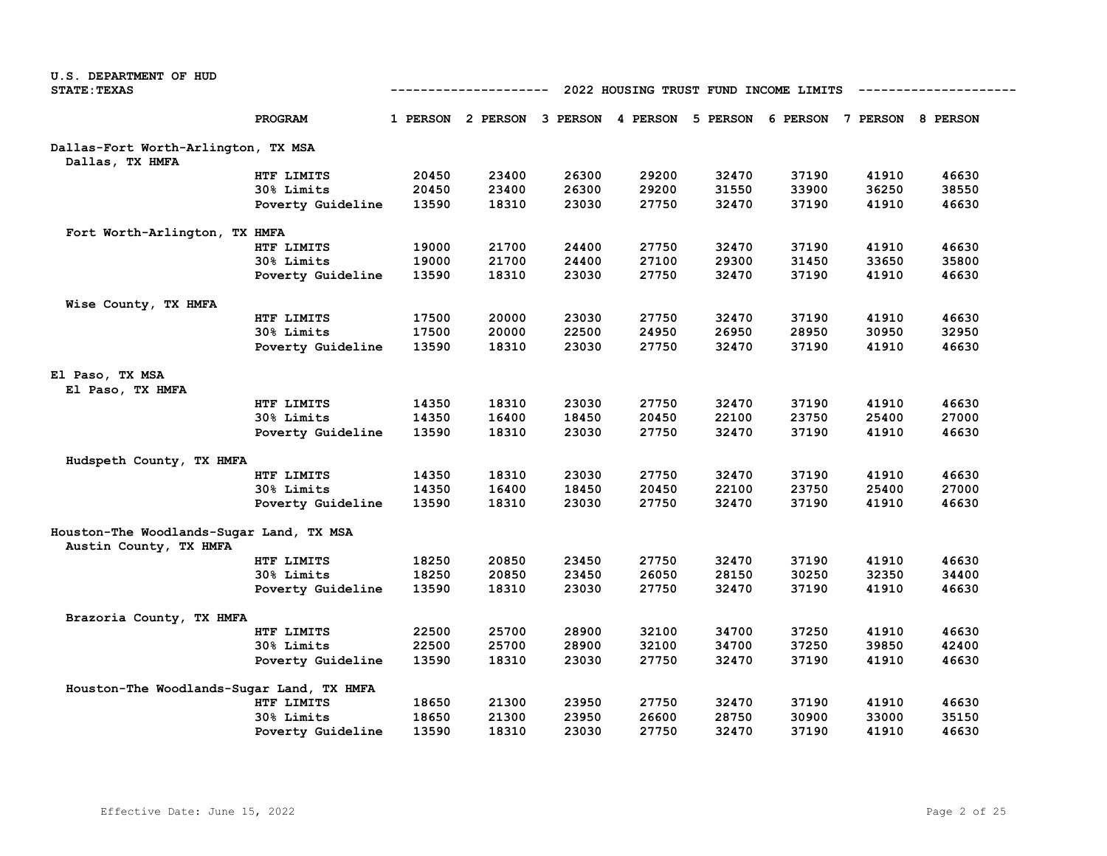| U.S. DEPARTMENT OF HUD                                             |                   |                                                      |                                                                         |       |       |       |       |       |       |  |
|--------------------------------------------------------------------|-------------------|------------------------------------------------------|-------------------------------------------------------------------------|-------|-------|-------|-------|-------|-------|--|
| <b>STATE: TEXAS</b>                                                |                   | 2022 HOUSING TRUST FUND INCOME LIMITS<br>----------- |                                                                         |       |       |       |       |       |       |  |
|                                                                    | PROGRAM           |                                                      | 1 PERSON 2 PERSON 3 PERSON 4 PERSON 5 PERSON 6 PERSON 7 PERSON 8 PERSON |       |       |       |       |       |       |  |
| Dallas-Fort Worth-Arlington, TX MSA                                |                   |                                                      |                                                                         |       |       |       |       |       |       |  |
| Dallas, TX HMFA                                                    |                   |                                                      |                                                                         |       |       |       |       |       |       |  |
|                                                                    | HTF LIMITS        | 20450                                                | 23400                                                                   | 26300 | 29200 | 32470 | 37190 | 41910 | 46630 |  |
|                                                                    | 30% Limits        | 20450                                                | 23400                                                                   | 26300 | 29200 | 31550 | 33900 | 36250 | 38550 |  |
|                                                                    | Poverty Guideline | 13590                                                | 18310                                                                   | 23030 | 27750 | 32470 | 37190 | 41910 | 46630 |  |
| Fort Worth-Arlington, TX HMFA                                      |                   |                                                      |                                                                         |       |       |       |       |       |       |  |
|                                                                    | HTF LIMITS        | 19000                                                | 21700                                                                   | 24400 | 27750 | 32470 | 37190 | 41910 | 46630 |  |
|                                                                    | 30% Limits        | 19000                                                | 21700                                                                   | 24400 | 27100 | 29300 | 31450 | 33650 | 35800 |  |
|                                                                    | Poverty Guideline | 13590                                                | 18310                                                                   | 23030 | 27750 | 32470 | 37190 | 41910 | 46630 |  |
| Wise County, TX HMFA                                               |                   |                                                      |                                                                         |       |       |       |       |       |       |  |
|                                                                    | HTF LIMITS        | 17500                                                | 20000                                                                   | 23030 | 27750 | 32470 | 37190 | 41910 | 46630 |  |
|                                                                    | 30% Limits        | 17500                                                | 20000                                                                   | 22500 | 24950 | 26950 | 28950 | 30950 | 32950 |  |
|                                                                    | Poverty Guideline | 13590                                                | 18310                                                                   | 23030 | 27750 | 32470 | 37190 | 41910 | 46630 |  |
| El Paso, TX MSA                                                    |                   |                                                      |                                                                         |       |       |       |       |       |       |  |
| El Paso, TX HMFA                                                   |                   |                                                      |                                                                         |       |       |       |       |       |       |  |
|                                                                    | HTF LIMITS        | 14350                                                | 18310                                                                   | 23030 | 27750 | 32470 | 37190 | 41910 | 46630 |  |
|                                                                    | 30% Limits        | 14350                                                | 16400                                                                   | 18450 | 20450 | 22100 | 23750 | 25400 | 27000 |  |
|                                                                    | Poverty Guideline | 13590                                                | 18310                                                                   | 23030 | 27750 | 32470 | 37190 | 41910 | 46630 |  |
| Hudspeth County, TX HMFA                                           |                   |                                                      |                                                                         |       |       |       |       |       |       |  |
|                                                                    | HTF LIMITS        | 14350                                                | 18310                                                                   | 23030 | 27750 | 32470 | 37190 | 41910 | 46630 |  |
|                                                                    | 30% Limits        | 14350                                                | 16400                                                                   | 18450 | 20450 | 22100 | 23750 | 25400 | 27000 |  |
|                                                                    | Poverty Guideline | 13590                                                | 18310                                                                   | 23030 | 27750 | 32470 | 37190 | 41910 | 46630 |  |
| Houston-The Woodlands-Sugar Land, TX MSA<br>Austin County, TX HMFA |                   |                                                      |                                                                         |       |       |       |       |       |       |  |
|                                                                    | HTF LIMITS        | 18250                                                | 20850                                                                   | 23450 | 27750 | 32470 | 37190 | 41910 | 46630 |  |
|                                                                    | 30% Limits        | 18250                                                | 20850                                                                   | 23450 | 26050 | 28150 | 30250 | 32350 | 34400 |  |
|                                                                    | Poverty Guideline | 13590                                                | 18310                                                                   | 23030 | 27750 | 32470 | 37190 | 41910 | 46630 |  |
| Brazoria County, TX HMFA                                           |                   |                                                      |                                                                         |       |       |       |       |       |       |  |
|                                                                    | HTF LIMITS        | 22500                                                | 25700                                                                   | 28900 | 32100 | 34700 | 37250 | 41910 | 46630 |  |
|                                                                    | 30% Limits        | 22500                                                | 25700                                                                   | 28900 | 32100 | 34700 | 37250 | 39850 | 42400 |  |
|                                                                    | Poverty Guideline | 13590                                                | 18310                                                                   | 23030 | 27750 | 32470 | 37190 | 41910 | 46630 |  |
| Houston-The Woodlands-Sugar Land, TX HMFA                          |                   |                                                      |                                                                         |       |       |       |       |       |       |  |
|                                                                    | HTF LIMITS        | 18650                                                | 21300                                                                   | 23950 | 27750 | 32470 | 37190 | 41910 | 46630 |  |
|                                                                    | 30% Limits        | 18650                                                | 21300                                                                   | 23950 | 26600 | 28750 | 30900 | 33000 | 35150 |  |
|                                                                    | Poverty Guideline | 13590                                                | 18310                                                                   | 23030 | 27750 | 32470 | 37190 | 41910 | 46630 |  |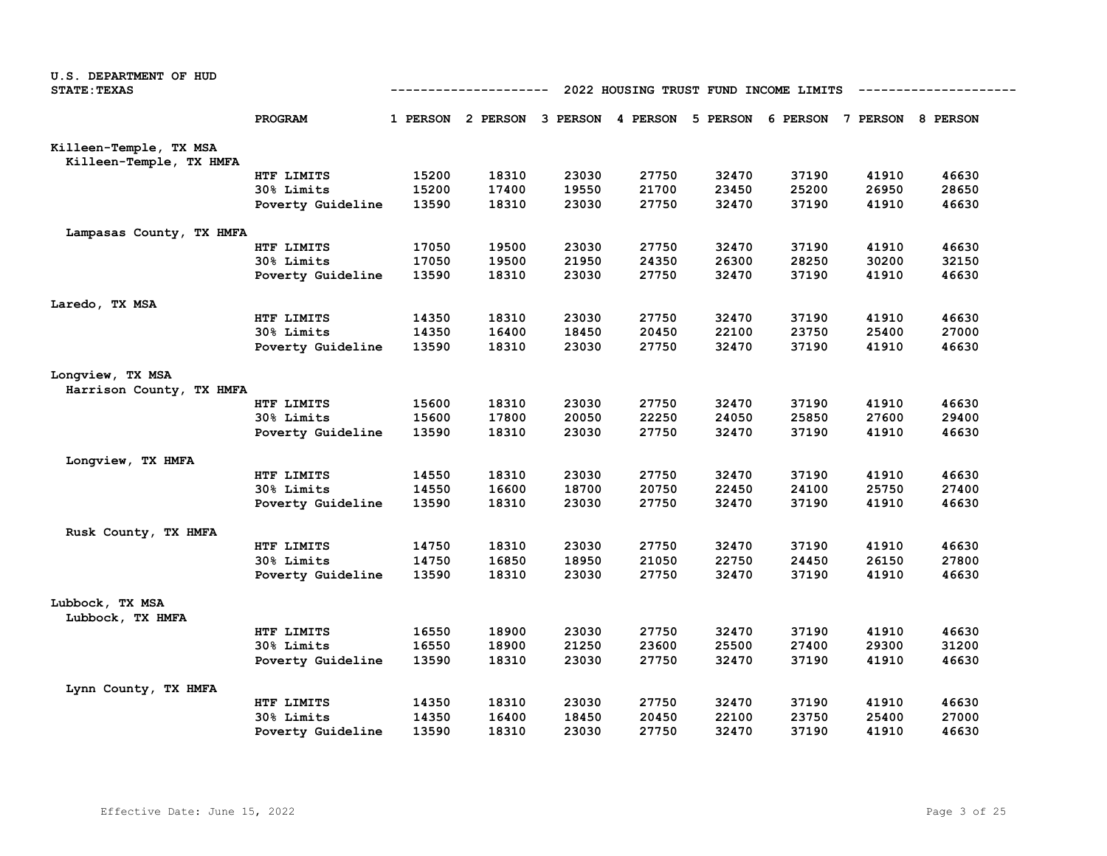| U.S. DEPARTMENT OF HUD<br><b>STATE: TEXAS</b>     |                   | ---------<br>2022 HOUSING TRUST FUND INCOME LIMITS |                                                                         |       |       |       |       |       |       |  |
|---------------------------------------------------|-------------------|----------------------------------------------------|-------------------------------------------------------------------------|-------|-------|-------|-------|-------|-------|--|
|                                                   | <b>PROGRAM</b>    |                                                    | 1 PERSON 2 PERSON 3 PERSON 4 PERSON 5 PERSON 6 PERSON 7 PERSON 8 PERSON |       |       |       |       |       |       |  |
| Killeen-Temple, TX MSA<br>Killeen-Temple, TX HMFA |                   |                                                    |                                                                         |       |       |       |       |       |       |  |
|                                                   | HTF LIMITS        | 15200                                              | 18310                                                                   | 23030 | 27750 | 32470 | 37190 | 41910 | 46630 |  |
|                                                   | 30% Limits        | 15200                                              | 17400                                                                   | 19550 | 21700 | 23450 | 25200 | 26950 | 28650 |  |
|                                                   | Poverty Guideline | 13590                                              | 18310                                                                   | 23030 | 27750 | 32470 | 37190 | 41910 | 46630 |  |
| Lampasas County, TX HMFA                          |                   |                                                    |                                                                         |       |       |       |       |       |       |  |
|                                                   | HTF LIMITS        | 17050                                              | 19500                                                                   | 23030 | 27750 | 32470 | 37190 | 41910 | 46630 |  |
|                                                   | 30% Limits        | 17050                                              | 19500                                                                   | 21950 | 24350 | 26300 | 28250 | 30200 | 32150 |  |
|                                                   | Poverty Guideline | 13590                                              | 18310                                                                   | 23030 | 27750 | 32470 | 37190 | 41910 | 46630 |  |
| Laredo, TX MSA                                    |                   |                                                    |                                                                         |       |       |       |       |       |       |  |
|                                                   | HTF LIMITS        | 14350                                              | 18310                                                                   | 23030 | 27750 | 32470 | 37190 | 41910 | 46630 |  |
|                                                   | 30% Limits        | 14350                                              | 16400                                                                   | 18450 | 20450 | 22100 | 23750 | 25400 | 27000 |  |
|                                                   | Poverty Guideline | 13590                                              | 18310                                                                   | 23030 | 27750 | 32470 | 37190 | 41910 | 46630 |  |
| Longview, TX MSA<br>Harrison County, TX HMFA      |                   |                                                    |                                                                         |       |       |       |       |       |       |  |
|                                                   | HTF LIMITS        | 15600                                              | 18310                                                                   | 23030 | 27750 | 32470 | 37190 | 41910 | 46630 |  |
|                                                   | 30% Limits        | 15600                                              | 17800                                                                   | 20050 | 22250 | 24050 | 25850 | 27600 | 29400 |  |
|                                                   | Poverty Guideline | 13590                                              | 18310                                                                   | 23030 | 27750 | 32470 | 37190 | 41910 | 46630 |  |
| Longview, TX HMFA                                 |                   |                                                    |                                                                         |       |       |       |       |       |       |  |
|                                                   | HTF LIMITS        | 14550                                              | 18310                                                                   | 23030 | 27750 | 32470 | 37190 | 41910 | 46630 |  |
|                                                   | 30% Limits        | 14550                                              | 16600                                                                   | 18700 | 20750 | 22450 | 24100 | 25750 | 27400 |  |
|                                                   | Poverty Guideline | 13590                                              | 18310                                                                   | 23030 | 27750 | 32470 | 37190 | 41910 | 46630 |  |
| Rusk County, TX HMFA                              |                   |                                                    |                                                                         |       |       |       |       |       |       |  |
|                                                   | HTF LIMITS        | 14750                                              | 18310                                                                   | 23030 | 27750 | 32470 | 37190 | 41910 | 46630 |  |
|                                                   | 30% Limits        | 14750                                              | 16850                                                                   | 18950 | 21050 | 22750 | 24450 | 26150 | 27800 |  |
|                                                   | Poverty Guideline | 13590                                              | 18310                                                                   | 23030 | 27750 | 32470 | 37190 | 41910 | 46630 |  |
| Lubbock, TX MSA<br>Lubbock, TX HMFA               |                   |                                                    |                                                                         |       |       |       |       |       |       |  |
|                                                   | HTF LIMITS        | 16550                                              | 18900                                                                   | 23030 | 27750 | 32470 | 37190 | 41910 | 46630 |  |
|                                                   | 30% Limits        | 16550                                              | 18900                                                                   | 21250 | 23600 | 25500 | 27400 | 29300 | 31200 |  |
|                                                   | Poverty Guideline | 13590                                              | 18310                                                                   | 23030 | 27750 | 32470 | 37190 | 41910 | 46630 |  |
| Lynn County, TX HMFA                              |                   |                                                    |                                                                         |       |       |       |       |       |       |  |
|                                                   | HTF LIMITS        | 14350                                              | 18310                                                                   | 23030 | 27750 | 32470 | 37190 | 41910 | 46630 |  |
|                                                   | 30% Limits        | 14350                                              | 16400                                                                   | 18450 | 20450 | 22100 | 23750 | 25400 | 27000 |  |
|                                                   | Poverty Guideline | 13590                                              | 18310                                                                   | 23030 | 27750 | 32470 | 37190 | 41910 | 46630 |  |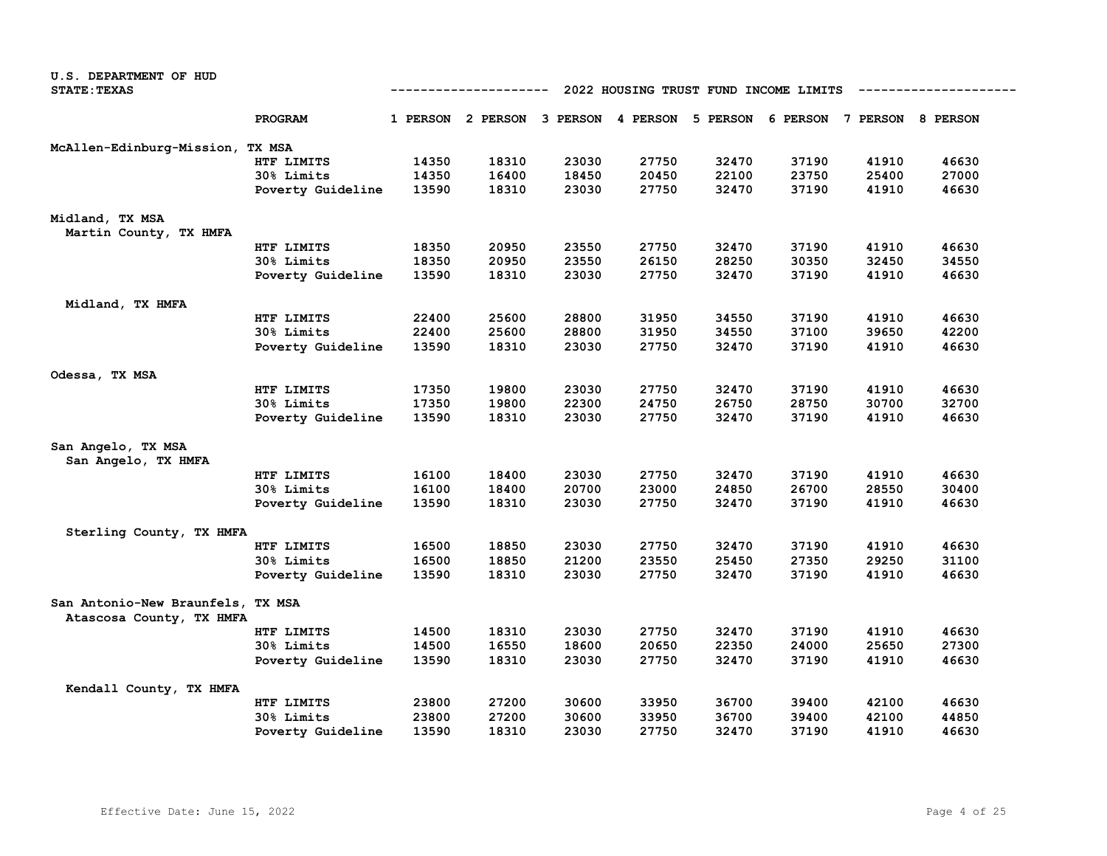| <b>U.S. DEPARTMENT OF HUD</b>                                 |                   |       |                                              |       |       |                                       |       |                            |       |
|---------------------------------------------------------------|-------------------|-------|----------------------------------------------|-------|-------|---------------------------------------|-------|----------------------------|-------|
| <b>STATE: TEXAS</b>                                           |                   |       |                                              |       |       | 2022 HOUSING TRUST FUND INCOME LIMITS |       |                            |       |
|                                                               | PROGRAM           |       | 1 PERSON 2 PERSON 3 PERSON 4 PERSON 5 PERSON |       |       |                                       |       | 6 PERSON 7 PERSON 8 PERSON |       |
| McAllen-Edinburg-Mission,                                     | TX MSA            |       |                                              |       |       |                                       |       |                            |       |
|                                                               | HTF LIMITS        | 14350 | 18310                                        | 23030 | 27750 | 32470                                 | 37190 | 41910                      | 46630 |
|                                                               | 30% Limits        | 14350 | 16400                                        | 18450 | 20450 | 22100                                 | 23750 | 25400                      | 27000 |
|                                                               | Poverty Guideline | 13590 | 18310                                        | 23030 | 27750 | 32470                                 | 37190 | 41910                      | 46630 |
| Midland, TX MSA                                               |                   |       |                                              |       |       |                                       |       |                            |       |
| Martin County, TX HMFA                                        |                   |       |                                              |       |       |                                       |       |                            |       |
|                                                               | HTF LIMITS        | 18350 | 20950                                        | 23550 | 27750 | 32470                                 | 37190 | 41910                      | 46630 |
|                                                               | 30% Limits        | 18350 | 20950                                        | 23550 | 26150 | 28250                                 | 30350 | 32450                      | 34550 |
|                                                               | Poverty Guideline | 13590 | 18310                                        | 23030 | 27750 | 32470                                 | 37190 | 41910                      | 46630 |
| Midland, TX HMFA                                              |                   |       |                                              |       |       |                                       |       |                            |       |
|                                                               | HTF LIMITS        | 22400 | 25600                                        | 28800 | 31950 | 34550                                 | 37190 | 41910                      | 46630 |
|                                                               | 30% Limits        | 22400 | 25600                                        | 28800 | 31950 | 34550                                 | 37100 | 39650                      | 42200 |
|                                                               | Poverty Guideline | 13590 | 18310                                        | 23030 | 27750 | 32470                                 | 37190 | 41910                      | 46630 |
| Odessa, TX MSA                                                |                   |       |                                              |       |       |                                       |       |                            |       |
|                                                               | HTF LIMITS        | 17350 | 19800                                        | 23030 | 27750 | 32470                                 | 37190 | 41910                      | 46630 |
|                                                               | 30% Limits        | 17350 | 19800                                        | 22300 | 24750 | 26750                                 | 28750 | 30700                      | 32700 |
|                                                               | Poverty Guideline | 13590 | 18310                                        | 23030 | 27750 | 32470                                 | 37190 | 41910                      | 46630 |
| San Angelo, TX MSA                                            |                   |       |                                              |       |       |                                       |       |                            |       |
| San Angelo, TX HMFA                                           |                   |       |                                              |       |       |                                       |       |                            |       |
|                                                               | HTF LIMITS        | 16100 | 18400                                        | 23030 | 27750 | 32470                                 | 37190 | 41910                      | 46630 |
|                                                               | 30% Limits        | 16100 | 18400                                        | 20700 | 23000 | 24850                                 | 26700 | 28550                      | 30400 |
|                                                               | Poverty Guideline | 13590 | 18310                                        | 23030 | 27750 | 32470                                 | 37190 | 41910                      | 46630 |
| Sterling County, TX HMFA                                      |                   |       |                                              |       |       |                                       |       |                            |       |
|                                                               | HTF LIMITS        | 16500 | 18850                                        | 23030 | 27750 | 32470                                 | 37190 | 41910                      | 46630 |
|                                                               | 30% Limits        | 16500 | 18850                                        | 21200 | 23550 | 25450                                 | 27350 | 29250                      | 31100 |
|                                                               | Poverty Guideline | 13590 | 18310                                        | 23030 | 27750 | 32470                                 | 37190 | 41910                      | 46630 |
| San Antonio-New Braunfels, TX MSA<br>Atascosa County, TX HMFA |                   |       |                                              |       |       |                                       |       |                            |       |
|                                                               | HTF LIMITS        | 14500 | 18310                                        | 23030 | 27750 | 32470                                 | 37190 | 41910                      | 46630 |
|                                                               | 30% Limits        | 14500 | 16550                                        | 18600 | 20650 | 22350                                 | 24000 | 25650                      | 27300 |
|                                                               | Poverty Guideline | 13590 | 18310                                        | 23030 | 27750 | 32470                                 | 37190 | 41910                      | 46630 |
| Kendall County, TX HMFA                                       |                   |       |                                              |       |       |                                       |       |                            |       |
|                                                               | HTF LIMITS        | 23800 | 27200                                        | 30600 | 33950 | 36700                                 | 39400 | 42100                      | 46630 |
|                                                               | 30% Limits        | 23800 | 27200                                        | 30600 | 33950 | 36700                                 | 39400 | 42100                      | 44850 |
|                                                               | Poverty Guideline | 13590 | 18310                                        | 23030 | 27750 | 32470                                 | 37190 | 41910                      | 46630 |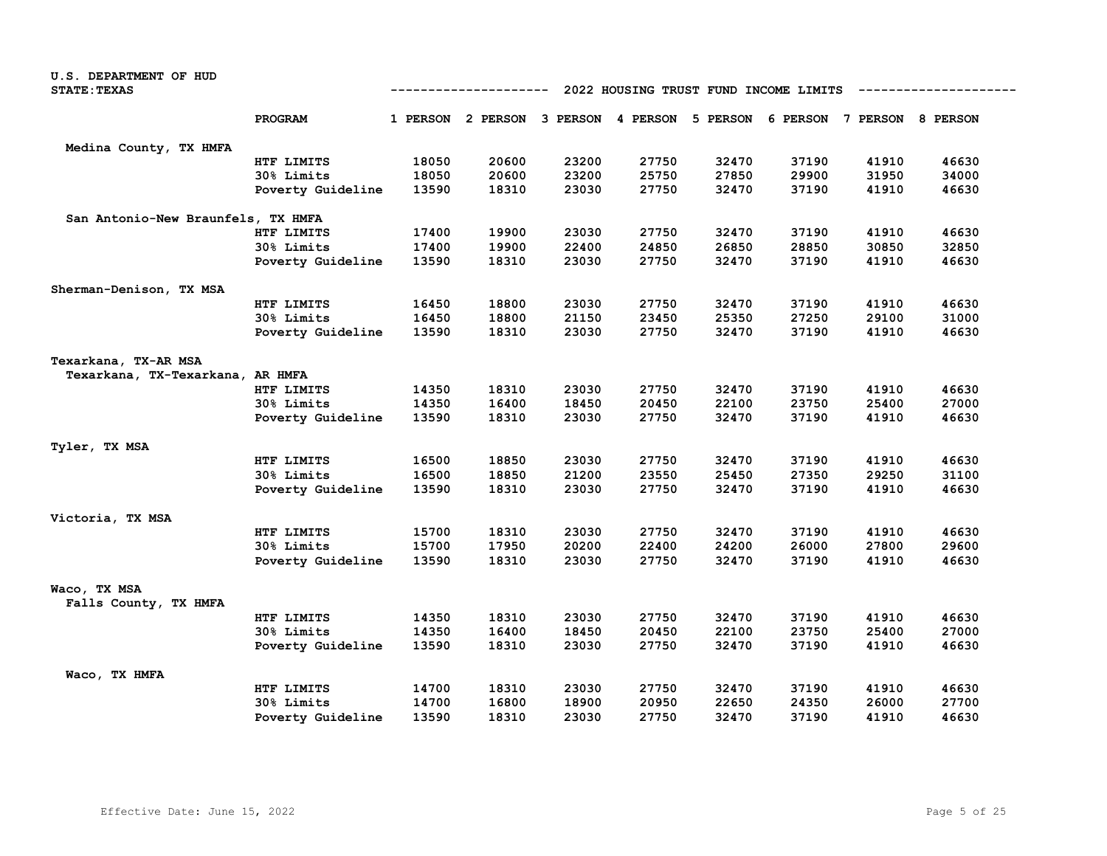| U.S. DEPARTMENT OF HUD<br><b>STATE: TEXAS</b> | 2022 HOUSING TRUST FUND INCOME LIMITS<br>---------- |       |                                                                         |       |       |       |       |       |       |  |
|-----------------------------------------------|-----------------------------------------------------|-------|-------------------------------------------------------------------------|-------|-------|-------|-------|-------|-------|--|
|                                               |                                                     |       |                                                                         |       |       |       |       |       |       |  |
|                                               | PROGRAM                                             |       | 1 PERSON 2 PERSON 3 PERSON 4 PERSON 5 PERSON 6 PERSON 7 PERSON 8 PERSON |       |       |       |       |       |       |  |
| Medina County, TX HMFA                        |                                                     |       |                                                                         |       |       |       |       |       |       |  |
|                                               | HTF LIMITS                                          | 18050 | 20600                                                                   | 23200 | 27750 | 32470 | 37190 | 41910 | 46630 |  |
|                                               | 30% Limits                                          | 18050 | 20600                                                                   | 23200 | 25750 | 27850 | 29900 | 31950 | 34000 |  |
|                                               | Poverty Guideline                                   | 13590 | 18310                                                                   | 23030 | 27750 | 32470 | 37190 | 41910 | 46630 |  |
| San Antonio-New Braunfels, TX HMFA            |                                                     |       |                                                                         |       |       |       |       |       |       |  |
|                                               | HTF LIMITS                                          | 17400 | 19900                                                                   | 23030 | 27750 | 32470 | 37190 | 41910 | 46630 |  |
|                                               | 30% Limits                                          | 17400 | 19900                                                                   | 22400 | 24850 | 26850 | 28850 | 30850 | 32850 |  |
|                                               | Poverty Guideline                                   | 13590 | 18310                                                                   | 23030 | 27750 | 32470 | 37190 | 41910 | 46630 |  |
| Sherman-Denison, TX MSA                       |                                                     |       |                                                                         |       |       |       |       |       |       |  |
|                                               | HTF LIMITS                                          | 16450 | 18800                                                                   | 23030 | 27750 | 32470 | 37190 | 41910 | 46630 |  |
|                                               | 30% Limits                                          | 16450 | 18800                                                                   | 21150 | 23450 | 25350 | 27250 | 29100 | 31000 |  |
|                                               | Poverty Guideline                                   | 13590 | 18310                                                                   | 23030 | 27750 | 32470 | 37190 | 41910 | 46630 |  |
| Texarkana, TX-AR MSA                          |                                                     |       |                                                                         |       |       |       |       |       |       |  |
| Texarkana, TX-Texarkana, AR HMFA              |                                                     |       |                                                                         |       |       |       |       |       |       |  |
|                                               | HTF LIMITS                                          | 14350 | 18310                                                                   | 23030 | 27750 | 32470 | 37190 | 41910 | 46630 |  |
|                                               | 30% Limits                                          | 14350 | 16400                                                                   | 18450 | 20450 | 22100 | 23750 | 25400 | 27000 |  |
|                                               | Poverty Guideline                                   | 13590 | 18310                                                                   | 23030 | 27750 | 32470 | 37190 | 41910 | 46630 |  |
| Tyler, TX MSA                                 |                                                     |       |                                                                         |       |       |       |       |       |       |  |
|                                               | HTF LIMITS                                          | 16500 | 18850                                                                   | 23030 | 27750 | 32470 | 37190 | 41910 | 46630 |  |
|                                               | 30% Limits                                          | 16500 | 18850                                                                   | 21200 | 23550 | 25450 | 27350 | 29250 | 31100 |  |
|                                               | Poverty Guideline                                   | 13590 | 18310                                                                   | 23030 | 27750 | 32470 | 37190 | 41910 | 46630 |  |
| Victoria, TX MSA                              |                                                     |       |                                                                         |       |       |       |       |       |       |  |
|                                               | HTF LIMITS                                          | 15700 | 18310                                                                   | 23030 | 27750 | 32470 | 37190 | 41910 | 46630 |  |
|                                               | 30% Limits                                          | 15700 | 17950                                                                   | 20200 | 22400 | 24200 | 26000 | 27800 | 29600 |  |
|                                               | Poverty Guideline                                   | 13590 | 18310                                                                   | 23030 | 27750 | 32470 | 37190 | 41910 | 46630 |  |
| Waco, TX MSA                                  |                                                     |       |                                                                         |       |       |       |       |       |       |  |
| Falls County, TX HMFA                         |                                                     |       |                                                                         |       |       |       |       |       |       |  |
|                                               | HTF LIMITS                                          | 14350 | 18310                                                                   | 23030 | 27750 | 32470 | 37190 | 41910 | 46630 |  |
|                                               | 30% Limits                                          | 14350 | 16400                                                                   | 18450 | 20450 | 22100 | 23750 | 25400 | 27000 |  |
|                                               | Poverty Guideline                                   | 13590 | 18310                                                                   | 23030 | 27750 | 32470 | 37190 | 41910 | 46630 |  |
| Waco, TX HMFA                                 |                                                     |       |                                                                         |       |       |       |       |       |       |  |
|                                               | HTF LIMITS                                          | 14700 | 18310                                                                   | 23030 | 27750 | 32470 | 37190 | 41910 | 46630 |  |
|                                               | 30% Limits                                          | 14700 | 16800                                                                   | 18900 | 20950 | 22650 | 24350 | 26000 | 27700 |  |
|                                               | Poverty Guideline                                   | 13590 | 18310                                                                   | 23030 | 27750 | 32470 | 37190 | 41910 | 46630 |  |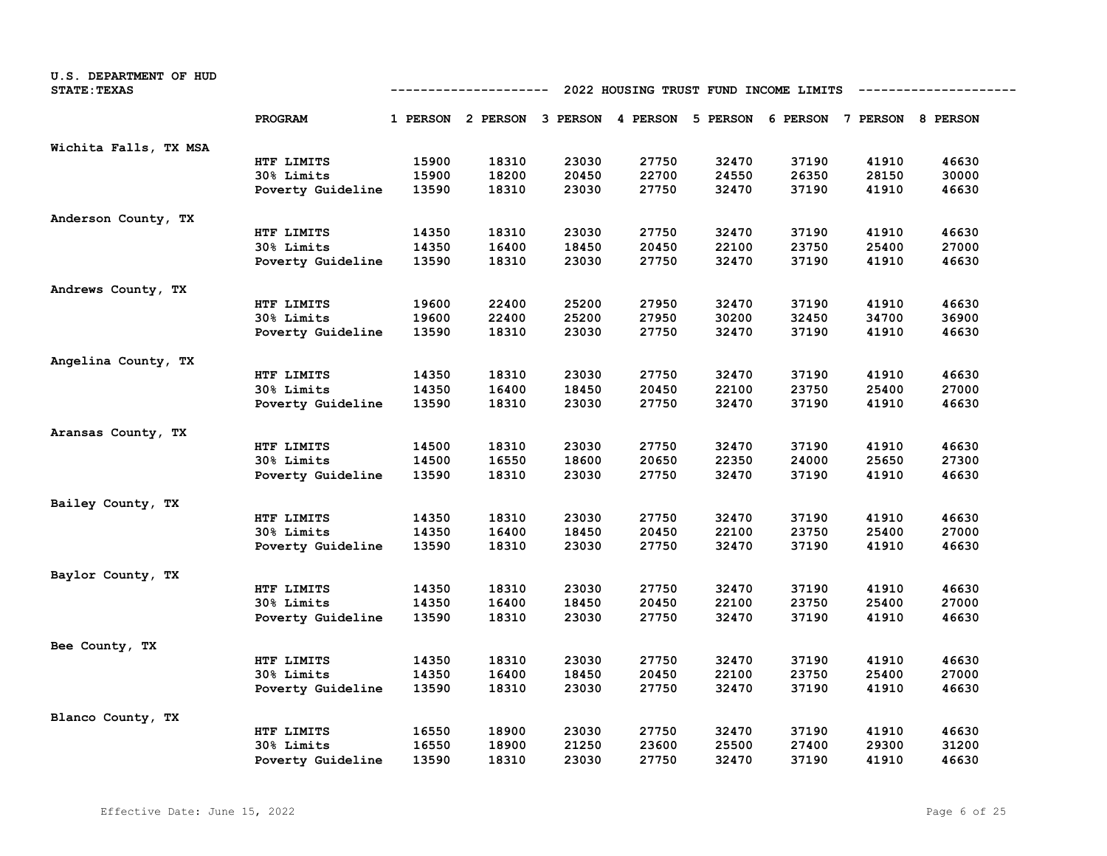| U.S. DEPARTMENT OF HUD<br><b>STATE: TEXAS</b> | 2022 HOUSING TRUST FUND INCOME LIMITS<br>----------------<br>---------- |       |                                                                         |       |       |       |       |       |       |
|-----------------------------------------------|-------------------------------------------------------------------------|-------|-------------------------------------------------------------------------|-------|-------|-------|-------|-------|-------|
|                                               | <b>PROGRAM</b>                                                          |       | 1 PERSON 2 PERSON 3 PERSON 4 PERSON 5 PERSON 6 PERSON 7 PERSON 8 PERSON |       |       |       |       |       |       |
| Wichita Falls, TX MSA                         |                                                                         |       |                                                                         |       |       |       |       |       |       |
|                                               | HTF LIMITS                                                              | 15900 | 18310                                                                   | 23030 | 27750 | 32470 | 37190 | 41910 | 46630 |
|                                               | 30% Limits                                                              | 15900 | 18200                                                                   | 20450 | 22700 | 24550 | 26350 | 28150 | 30000 |
|                                               | Poverty Guideline                                                       | 13590 | 18310                                                                   | 23030 | 27750 | 32470 | 37190 | 41910 | 46630 |
| Anderson County, TX                           |                                                                         |       |                                                                         |       |       |       |       |       |       |
|                                               | HTF LIMITS                                                              | 14350 | 18310                                                                   | 23030 | 27750 | 32470 | 37190 | 41910 | 46630 |
|                                               | 30% Limits                                                              | 14350 | 16400                                                                   | 18450 | 20450 | 22100 | 23750 | 25400 | 27000 |
|                                               | Poverty Guideline                                                       | 13590 | 18310                                                                   | 23030 | 27750 | 32470 | 37190 | 41910 | 46630 |
| Andrews County, TX                            |                                                                         |       |                                                                         |       |       |       |       |       |       |
|                                               | HTF LIMITS                                                              | 19600 | 22400                                                                   | 25200 | 27950 | 32470 | 37190 | 41910 | 46630 |
|                                               | 30% Limits                                                              | 19600 | 22400                                                                   | 25200 | 27950 | 30200 | 32450 | 34700 | 36900 |
|                                               | Poverty Guideline                                                       | 13590 | 18310                                                                   | 23030 | 27750 | 32470 | 37190 | 41910 | 46630 |
| Angelina County, TX                           |                                                                         |       |                                                                         |       |       |       |       |       |       |
|                                               | HTF LIMITS                                                              | 14350 | 18310                                                                   | 23030 | 27750 | 32470 | 37190 | 41910 | 46630 |
|                                               | 30% Limits                                                              | 14350 | 16400                                                                   | 18450 | 20450 | 22100 | 23750 | 25400 | 27000 |
|                                               | Poverty Guideline                                                       | 13590 | 18310                                                                   | 23030 | 27750 | 32470 | 37190 | 41910 | 46630 |
| Aransas County, TX                            |                                                                         |       |                                                                         |       |       |       |       |       |       |
|                                               | HTF LIMITS                                                              | 14500 | 18310                                                                   | 23030 | 27750 | 32470 | 37190 | 41910 | 46630 |
|                                               | 30% Limits                                                              | 14500 | 16550                                                                   | 18600 | 20650 | 22350 | 24000 | 25650 | 27300 |
|                                               | Poverty Guideline                                                       | 13590 | 18310                                                                   | 23030 | 27750 | 32470 | 37190 | 41910 | 46630 |
| Bailey County, TX                             |                                                                         |       |                                                                         |       |       |       |       |       |       |
|                                               | HTF LIMITS                                                              | 14350 | 18310                                                                   | 23030 | 27750 | 32470 | 37190 | 41910 | 46630 |
|                                               | 30% Limits                                                              | 14350 | 16400                                                                   | 18450 | 20450 | 22100 | 23750 | 25400 | 27000 |
|                                               | Poverty Guideline                                                       | 13590 | 18310                                                                   | 23030 | 27750 | 32470 | 37190 | 41910 | 46630 |
| Baylor County, TX                             |                                                                         |       |                                                                         |       |       |       |       |       |       |
|                                               | HTF LIMITS                                                              | 14350 | 18310                                                                   | 23030 | 27750 | 32470 | 37190 | 41910 | 46630 |
|                                               | 30% Limits                                                              | 14350 | 16400                                                                   | 18450 | 20450 | 22100 | 23750 | 25400 | 27000 |
|                                               | Poverty Guideline                                                       | 13590 | 18310                                                                   | 23030 | 27750 | 32470 | 37190 | 41910 | 46630 |
| Bee County, TX                                |                                                                         |       |                                                                         |       |       |       |       |       |       |
|                                               | HTF LIMITS                                                              | 14350 | 18310                                                                   | 23030 | 27750 | 32470 | 37190 | 41910 | 46630 |
|                                               | 30% Limits                                                              | 14350 | 16400                                                                   | 18450 | 20450 | 22100 | 23750 | 25400 | 27000 |
|                                               | Poverty Guideline                                                       | 13590 | 18310                                                                   | 23030 | 27750 | 32470 | 37190 | 41910 | 46630 |
| Blanco County, TX                             |                                                                         |       |                                                                         |       |       |       |       |       |       |
|                                               | HTF LIMITS                                                              | 16550 | 18900                                                                   | 23030 | 27750 | 32470 | 37190 | 41910 | 46630 |
|                                               | <b>30% Limits</b>                                                       | 16550 | 18900                                                                   | 21250 | 23600 | 25500 | 27400 | 29300 | 31200 |
|                                               | Poverty Guideline                                                       | 13590 | 18310                                                                   | 23030 | 27750 | 32470 | 37190 | 41910 | 46630 |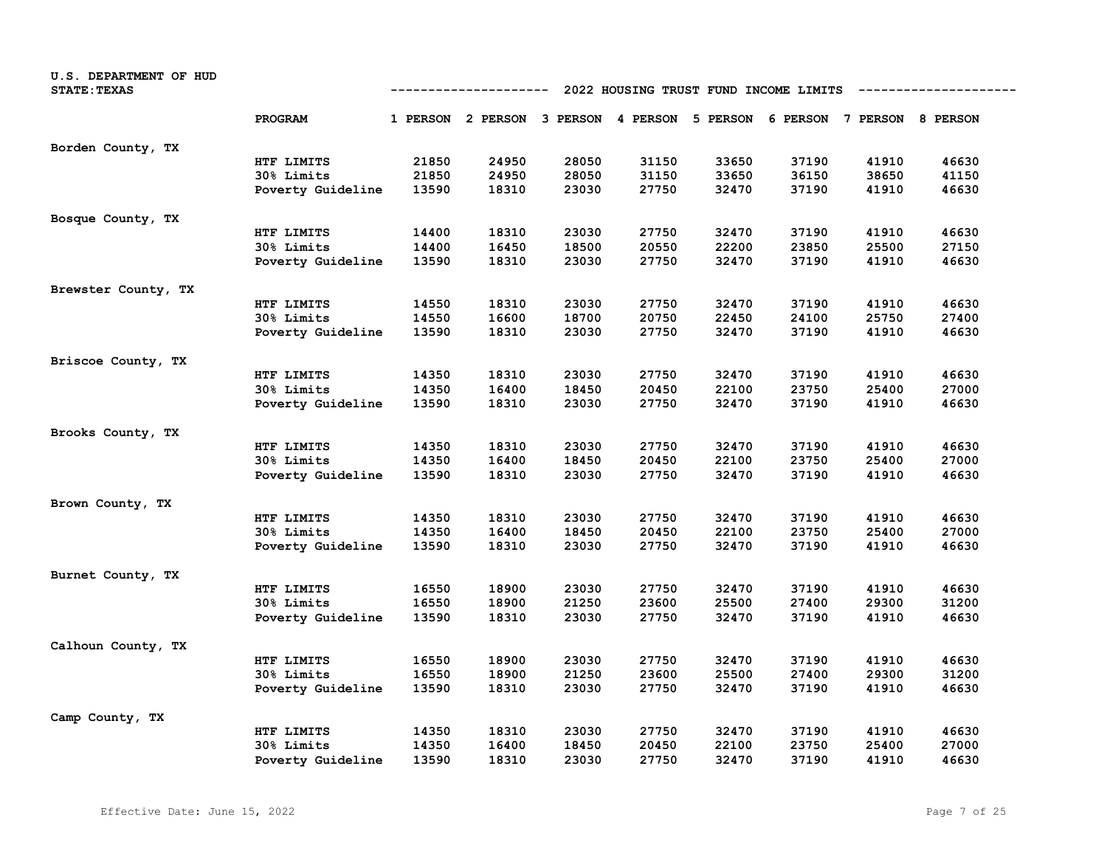| U.S. DEPARTMENT OF HUD<br><b>STATE: TEXAS</b> | 2022 HOUSING TRUST FUND INCOME LIMITS<br>--------------<br>---------- |       |                                                                         |       |       |       |       |       |       |
|-----------------------------------------------|-----------------------------------------------------------------------|-------|-------------------------------------------------------------------------|-------|-------|-------|-------|-------|-------|
|                                               | PROGRAM                                                               |       | 1 PERSON 2 PERSON 3 PERSON 4 PERSON 5 PERSON 6 PERSON 7 PERSON 8 PERSON |       |       |       |       |       |       |
| Borden County, TX                             |                                                                       |       |                                                                         |       |       |       |       |       |       |
|                                               | HTF LIMITS                                                            | 21850 | 24950                                                                   | 28050 | 31150 | 33650 | 37190 | 41910 | 46630 |
|                                               | 30% Limits                                                            | 21850 | 24950                                                                   | 28050 | 31150 | 33650 | 36150 | 38650 | 41150 |
|                                               | Poverty Guideline                                                     | 13590 | 18310                                                                   | 23030 | 27750 | 32470 | 37190 | 41910 | 46630 |
| Bosque County, TX                             |                                                                       |       |                                                                         |       |       |       |       |       |       |
|                                               | HTF LIMITS                                                            | 14400 | 18310                                                                   | 23030 | 27750 | 32470 | 37190 | 41910 | 46630 |
|                                               | 30% Limits                                                            | 14400 | 16450                                                                   | 18500 | 20550 | 22200 | 23850 | 25500 | 27150 |
|                                               | Poverty Guideline                                                     | 13590 | 18310                                                                   | 23030 | 27750 | 32470 | 37190 | 41910 | 46630 |
| Brewster County, TX                           |                                                                       |       |                                                                         |       |       |       |       |       |       |
|                                               | HTF LIMITS                                                            | 14550 | 18310                                                                   | 23030 | 27750 | 32470 | 37190 | 41910 | 46630 |
|                                               | 30% Limits                                                            | 14550 | 16600                                                                   | 18700 | 20750 | 22450 | 24100 | 25750 | 27400 |
|                                               | Poverty Guideline                                                     | 13590 | 18310                                                                   | 23030 | 27750 | 32470 | 37190 | 41910 | 46630 |
| Briscoe County, TX                            |                                                                       |       |                                                                         |       |       |       |       |       |       |
|                                               | HTF LIMITS                                                            | 14350 | 18310                                                                   | 23030 | 27750 | 32470 | 37190 | 41910 | 46630 |
|                                               | 30% Limits                                                            | 14350 | 16400                                                                   | 18450 | 20450 | 22100 | 23750 | 25400 | 27000 |
|                                               | Poverty Guideline                                                     | 13590 | 18310                                                                   | 23030 | 27750 | 32470 | 37190 | 41910 | 46630 |
| Brooks County, TX                             |                                                                       |       |                                                                         |       |       |       |       |       |       |
|                                               | HTF LIMITS                                                            | 14350 | 18310                                                                   | 23030 | 27750 | 32470 | 37190 | 41910 | 46630 |
|                                               | 30% Limits                                                            | 14350 | 16400                                                                   | 18450 | 20450 | 22100 | 23750 | 25400 | 27000 |
|                                               | Poverty Guideline                                                     | 13590 | 18310                                                                   | 23030 | 27750 | 32470 | 37190 | 41910 | 46630 |
| Brown County, TX                              |                                                                       |       |                                                                         |       |       |       |       |       |       |
|                                               | HTF LIMITS                                                            | 14350 | 18310                                                                   | 23030 | 27750 | 32470 | 37190 | 41910 | 46630 |
|                                               | 30% Limits                                                            | 14350 | 16400                                                                   | 18450 | 20450 | 22100 | 23750 | 25400 | 27000 |
|                                               | Poverty Guideline                                                     | 13590 | 18310                                                                   | 23030 | 27750 | 32470 | 37190 | 41910 | 46630 |
| Burnet County, TX                             |                                                                       |       |                                                                         |       |       |       |       |       |       |
|                                               | HTF LIMITS                                                            | 16550 | 18900                                                                   | 23030 | 27750 | 32470 | 37190 | 41910 | 46630 |
|                                               | 30% Limits                                                            | 16550 | 18900                                                                   | 21250 | 23600 | 25500 | 27400 | 29300 | 31200 |
|                                               | Poverty Guideline                                                     | 13590 | 18310                                                                   | 23030 | 27750 | 32470 | 37190 | 41910 | 46630 |
| Calhoun County, TX                            |                                                                       |       |                                                                         |       |       |       |       |       |       |
|                                               | HTF LIMITS                                                            | 16550 | 18900                                                                   | 23030 | 27750 | 32470 | 37190 | 41910 | 46630 |
|                                               | 30% Limits                                                            | 16550 | 18900                                                                   | 21250 | 23600 | 25500 | 27400 | 29300 | 31200 |
|                                               | Poverty Guideline                                                     | 13590 | 18310                                                                   | 23030 | 27750 | 32470 | 37190 | 41910 | 46630 |
| Camp County, TX                               |                                                                       |       |                                                                         |       |       |       |       |       |       |
|                                               | HTF LIMITS                                                            | 14350 | 18310                                                                   | 23030 | 27750 | 32470 | 37190 | 41910 | 46630 |
|                                               | 30% Limits                                                            | 14350 | 16400                                                                   | 18450 | 20450 | 22100 | 23750 | 25400 | 27000 |
|                                               | Poverty Guideline                                                     | 13590 | 18310                                                                   | 23030 | 27750 | 32470 | 37190 | 41910 | 46630 |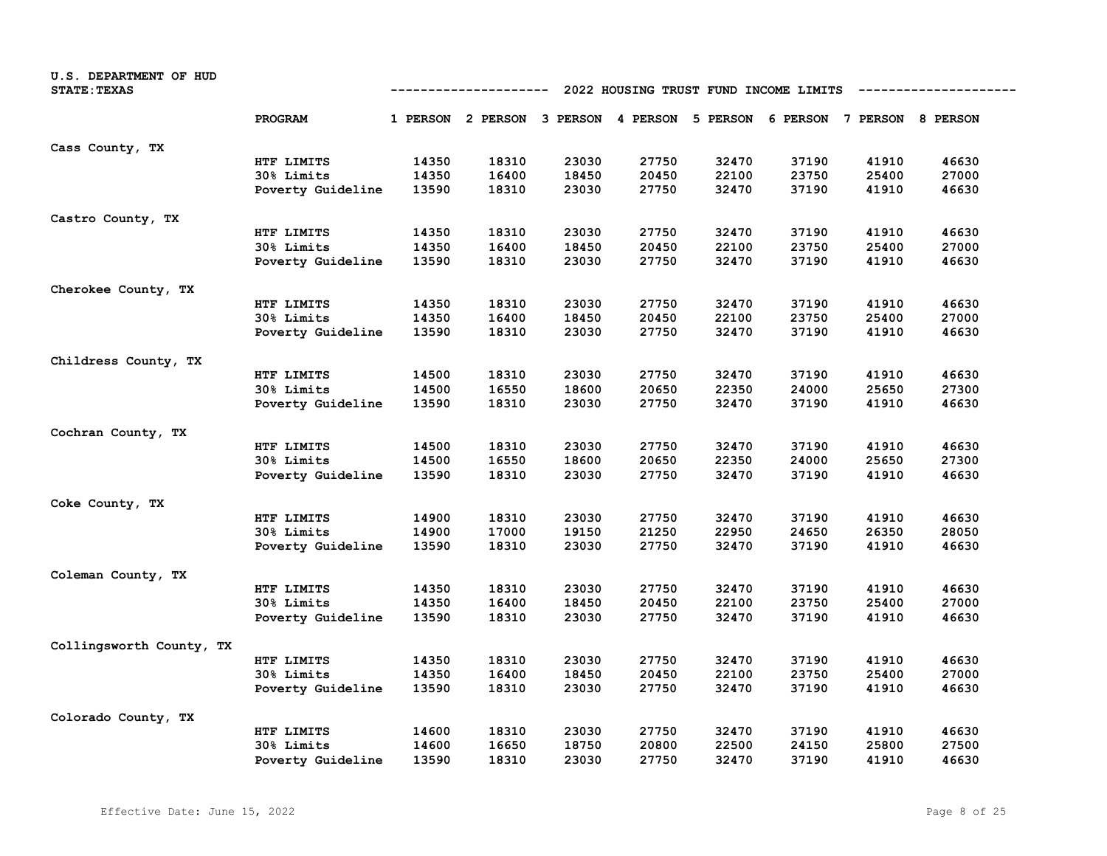| U.S. DEPARTMENT OF HUD<br><b>STATE: TEXAS</b> | 2022 HOUSING TRUST FUND INCOME LIMITS<br>--------------<br>---------- |       |                                                                         |       |       |       |       |       |       |
|-----------------------------------------------|-----------------------------------------------------------------------|-------|-------------------------------------------------------------------------|-------|-------|-------|-------|-------|-------|
|                                               | PROGRAM                                                               |       | 1 PERSON 2 PERSON 3 PERSON 4 PERSON 5 PERSON 6 PERSON 7 PERSON 8 PERSON |       |       |       |       |       |       |
| Cass County, TX                               |                                                                       |       |                                                                         |       |       |       |       |       |       |
|                                               | HTF LIMITS                                                            | 14350 | 18310                                                                   | 23030 | 27750 | 32470 | 37190 | 41910 | 46630 |
|                                               | 30% Limits                                                            | 14350 | 16400                                                                   | 18450 | 20450 | 22100 | 23750 | 25400 | 27000 |
|                                               | Poverty Guideline                                                     | 13590 | 18310                                                                   | 23030 | 27750 | 32470 | 37190 | 41910 | 46630 |
| Castro County, TX                             |                                                                       |       |                                                                         |       |       |       |       |       |       |
|                                               | HTF LIMITS                                                            | 14350 | 18310                                                                   | 23030 | 27750 | 32470 | 37190 | 41910 | 46630 |
|                                               | 30% Limits                                                            | 14350 | 16400                                                                   | 18450 | 20450 | 22100 | 23750 | 25400 | 27000 |
|                                               | Poverty Guideline                                                     | 13590 | 18310                                                                   | 23030 | 27750 | 32470 | 37190 | 41910 | 46630 |
| Cherokee County, TX                           |                                                                       |       |                                                                         |       |       |       |       |       |       |
|                                               | HTF LIMITS                                                            | 14350 | 18310                                                                   | 23030 | 27750 | 32470 | 37190 | 41910 | 46630 |
|                                               | 30% Limits                                                            | 14350 | 16400                                                                   | 18450 | 20450 | 22100 | 23750 | 25400 | 27000 |
|                                               | Poverty Guideline                                                     | 13590 | 18310                                                                   | 23030 | 27750 | 32470 | 37190 | 41910 | 46630 |
| Childress County, TX                          |                                                                       |       |                                                                         |       |       |       |       |       |       |
|                                               | HTF LIMITS                                                            | 14500 | 18310                                                                   | 23030 | 27750 | 32470 | 37190 | 41910 | 46630 |
|                                               | 30% Limits                                                            | 14500 | 16550                                                                   | 18600 | 20650 | 22350 | 24000 | 25650 | 27300 |
|                                               | Poverty Guideline                                                     | 13590 | 18310                                                                   | 23030 | 27750 | 32470 | 37190 | 41910 | 46630 |
| Cochran County, TX                            |                                                                       |       |                                                                         |       |       |       |       |       |       |
|                                               | HTF LIMITS                                                            | 14500 | 18310                                                                   | 23030 | 27750 | 32470 | 37190 | 41910 | 46630 |
|                                               | 30% Limits                                                            | 14500 | 16550                                                                   | 18600 | 20650 | 22350 | 24000 | 25650 | 27300 |
|                                               | Poverty Guideline                                                     | 13590 | 18310                                                                   | 23030 | 27750 | 32470 | 37190 | 41910 | 46630 |
| Coke County, TX                               |                                                                       |       |                                                                         |       |       |       |       |       |       |
|                                               | HTF LIMITS                                                            | 14900 | 18310                                                                   | 23030 | 27750 | 32470 | 37190 | 41910 | 46630 |
|                                               | 30% Limits                                                            | 14900 | 17000                                                                   | 19150 | 21250 | 22950 | 24650 | 26350 | 28050 |
|                                               | Poverty Guideline                                                     | 13590 | 18310                                                                   | 23030 | 27750 | 32470 | 37190 | 41910 | 46630 |
| Coleman County, TX                            |                                                                       |       |                                                                         |       |       |       |       |       |       |
|                                               | HTF LIMITS                                                            | 14350 | 18310                                                                   | 23030 | 27750 | 32470 | 37190 | 41910 | 46630 |
|                                               | 30% Limits                                                            | 14350 | 16400                                                                   | 18450 | 20450 | 22100 | 23750 | 25400 | 27000 |
|                                               | Poverty Guideline                                                     | 13590 | 18310                                                                   | 23030 | 27750 | 32470 | 37190 | 41910 | 46630 |
| Collingsworth County, TX                      |                                                                       |       |                                                                         |       |       |       |       |       |       |
|                                               | HTF LIMITS                                                            | 14350 | 18310                                                                   | 23030 | 27750 | 32470 | 37190 | 41910 | 46630 |
|                                               | 30% Limits                                                            | 14350 | 16400                                                                   | 18450 | 20450 | 22100 | 23750 | 25400 | 27000 |
|                                               | Poverty Guideline                                                     | 13590 | 18310                                                                   | 23030 | 27750 | 32470 | 37190 | 41910 | 46630 |
|                                               |                                                                       |       |                                                                         |       |       |       |       |       |       |
| Colorado County, TX                           |                                                                       |       |                                                                         |       |       |       |       |       |       |
|                                               | HTF LIMITS                                                            | 14600 | 18310                                                                   | 23030 | 27750 | 32470 | 37190 | 41910 | 46630 |
|                                               | 30% Limits                                                            | 14600 | 16650                                                                   | 18750 | 20800 | 22500 | 24150 | 25800 | 27500 |
|                                               | Poverty Guideline                                                     | 13590 | 18310                                                                   | 23030 | 27750 | 32470 | 37190 | 41910 | 46630 |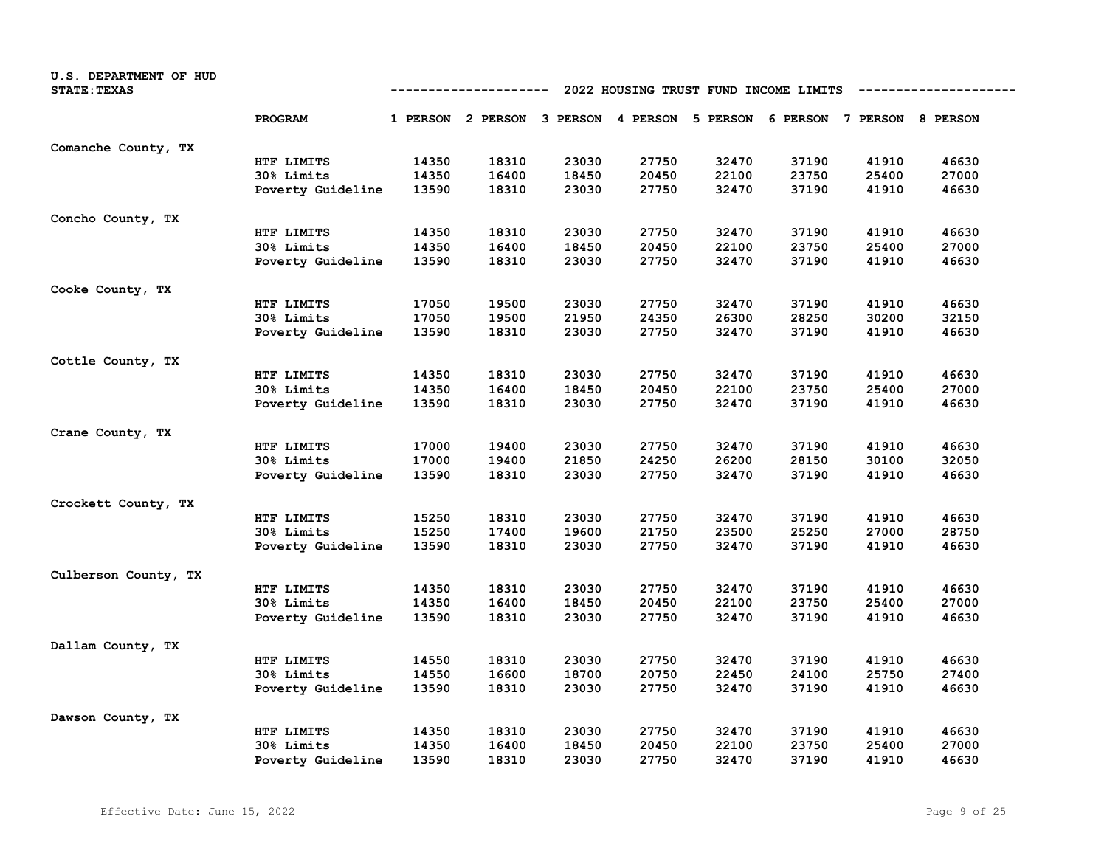| U.S. DEPARTMENT OF HUD<br><b>STATE: TEXAS</b> | 2022 HOUSING TRUST FUND INCOME LIMITS<br>-----------------<br>---------- |       |                                                                         |       |       |       |       |       |       |
|-----------------------------------------------|--------------------------------------------------------------------------|-------|-------------------------------------------------------------------------|-------|-------|-------|-------|-------|-------|
|                                               | PROGRAM                                                                  |       | 1 PERSON 2 PERSON 3 PERSON 4 PERSON 5 PERSON 6 PERSON 7 PERSON 8 PERSON |       |       |       |       |       |       |
| Comanche County, TX                           |                                                                          |       |                                                                         |       |       |       |       |       |       |
|                                               | HTF LIMITS                                                               | 14350 | 18310                                                                   | 23030 | 27750 | 32470 | 37190 | 41910 | 46630 |
|                                               | 30% Limits                                                               | 14350 | 16400                                                                   | 18450 | 20450 | 22100 | 23750 | 25400 | 27000 |
|                                               | Poverty Guideline                                                        | 13590 | 18310                                                                   | 23030 | 27750 | 32470 | 37190 | 41910 | 46630 |
| Concho County, TX                             |                                                                          |       |                                                                         |       |       |       |       |       |       |
|                                               | HTF LIMITS                                                               | 14350 | 18310                                                                   | 23030 | 27750 | 32470 | 37190 | 41910 | 46630 |
|                                               | 30% Limits                                                               | 14350 | 16400                                                                   | 18450 | 20450 | 22100 | 23750 | 25400 | 27000 |
|                                               | Poverty Guideline                                                        | 13590 | 18310                                                                   | 23030 | 27750 | 32470 | 37190 | 41910 | 46630 |
| Cooke County, TX                              |                                                                          |       |                                                                         |       |       |       |       |       |       |
|                                               | HTF LIMITS                                                               | 17050 | 19500                                                                   | 23030 | 27750 | 32470 | 37190 | 41910 | 46630 |
|                                               | 30% Limits                                                               | 17050 | 19500                                                                   | 21950 | 24350 | 26300 | 28250 | 30200 | 32150 |
|                                               | Poverty Guideline                                                        | 13590 | 18310                                                                   | 23030 | 27750 | 32470 | 37190 | 41910 | 46630 |
| Cottle County, TX                             |                                                                          |       |                                                                         |       |       |       |       |       |       |
|                                               | HTF LIMITS                                                               | 14350 | 18310                                                                   | 23030 | 27750 | 32470 | 37190 | 41910 | 46630 |
|                                               | 30% Limits                                                               | 14350 | 16400                                                                   | 18450 | 20450 | 22100 | 23750 | 25400 | 27000 |
|                                               | Poverty Guideline                                                        | 13590 | 18310                                                                   | 23030 | 27750 | 32470 | 37190 | 41910 | 46630 |
| Crane County, TX                              |                                                                          |       |                                                                         |       |       |       |       |       |       |
|                                               | HTF LIMITS                                                               | 17000 | 19400                                                                   | 23030 | 27750 | 32470 | 37190 | 41910 | 46630 |
|                                               | 30% Limits                                                               | 17000 | 19400                                                                   | 21850 | 24250 | 26200 | 28150 | 30100 | 32050 |
|                                               | Poverty Guideline                                                        | 13590 | 18310                                                                   | 23030 | 27750 | 32470 | 37190 | 41910 | 46630 |
| Crockett County, TX                           |                                                                          |       |                                                                         |       |       |       |       |       |       |
|                                               | HTF LIMITS                                                               | 15250 | 18310                                                                   | 23030 | 27750 | 32470 | 37190 | 41910 | 46630 |
|                                               | 30% Limits                                                               | 15250 | 17400                                                                   | 19600 | 21750 | 23500 | 25250 | 27000 | 28750 |
|                                               | Poverty Guideline                                                        | 13590 | 18310                                                                   | 23030 | 27750 | 32470 | 37190 | 41910 | 46630 |
| Culberson County, TX                          |                                                                          |       |                                                                         |       |       |       |       |       |       |
|                                               | HTF LIMITS                                                               | 14350 | 18310                                                                   | 23030 | 27750 | 32470 | 37190 | 41910 | 46630 |
|                                               | 30% Limits                                                               | 14350 | 16400                                                                   | 18450 | 20450 | 22100 | 23750 | 25400 | 27000 |
|                                               | Poverty Guideline                                                        | 13590 | 18310                                                                   | 23030 | 27750 | 32470 | 37190 | 41910 | 46630 |
| Dallam County, TX                             |                                                                          |       |                                                                         |       |       |       |       |       |       |
|                                               | HTF LIMITS                                                               | 14550 | 18310                                                                   | 23030 | 27750 | 32470 | 37190 | 41910 | 46630 |
|                                               | 30% Limits                                                               | 14550 | 16600                                                                   | 18700 | 20750 | 22450 | 24100 | 25750 | 27400 |
|                                               | Poverty Guideline                                                        | 13590 | 18310                                                                   | 23030 | 27750 | 32470 | 37190 | 41910 | 46630 |
| Dawson County, TX                             |                                                                          |       |                                                                         |       |       |       |       |       |       |
|                                               | HTF LIMITS                                                               | 14350 | 18310                                                                   | 23030 | 27750 | 32470 | 37190 | 41910 | 46630 |
|                                               | 30% Limits                                                               | 14350 | 16400                                                                   | 18450 | 20450 | 22100 | 23750 | 25400 | 27000 |
|                                               | Poverty Guideline                                                        | 13590 | 18310                                                                   | 23030 | 27750 | 32470 | 37190 | 41910 | 46630 |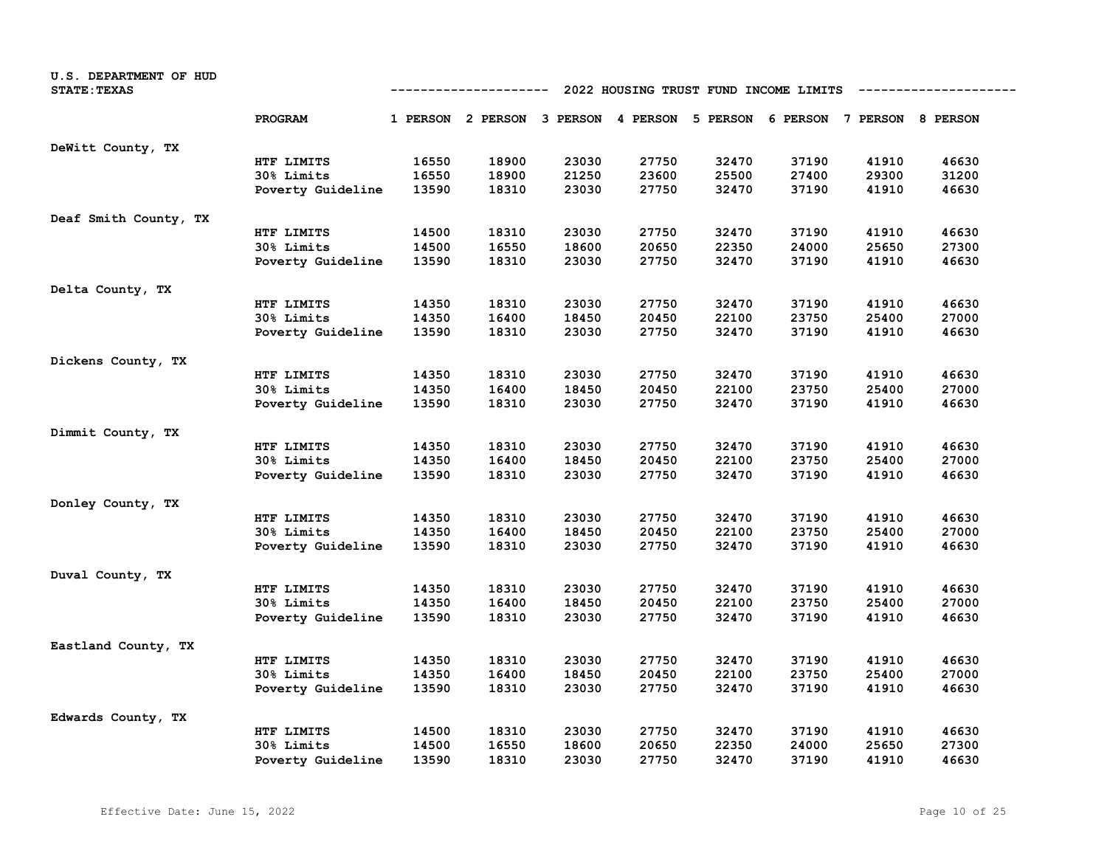| U.S. DEPARTMENT OF HUD<br><b>STATE: TEXAS</b> | 2022 HOUSING TRUST FUND INCOME LIMITS<br>--------------<br>---------- |       |                                                                         |       |       |       |       |       |       |
|-----------------------------------------------|-----------------------------------------------------------------------|-------|-------------------------------------------------------------------------|-------|-------|-------|-------|-------|-------|
|                                               | PROGRAM                                                               |       | 1 PERSON 2 PERSON 3 PERSON 4 PERSON 5 PERSON 6 PERSON 7 PERSON 8 PERSON |       |       |       |       |       |       |
| DeWitt County, TX                             |                                                                       |       |                                                                         |       |       |       |       |       |       |
|                                               | HTF LIMITS                                                            | 16550 | 18900                                                                   | 23030 | 27750 | 32470 | 37190 | 41910 | 46630 |
|                                               | 30% Limits                                                            | 16550 | 18900                                                                   | 21250 | 23600 | 25500 | 27400 | 29300 | 31200 |
|                                               | Poverty Guideline                                                     | 13590 | 18310                                                                   | 23030 | 27750 | 32470 | 37190 | 41910 | 46630 |
| Deaf Smith County, TX                         |                                                                       |       |                                                                         |       |       |       |       |       |       |
|                                               | HTF LIMITS                                                            | 14500 | 18310                                                                   | 23030 | 27750 | 32470 | 37190 | 41910 | 46630 |
|                                               | 30% Limits                                                            | 14500 | 16550                                                                   | 18600 | 20650 | 22350 | 24000 | 25650 | 27300 |
|                                               | Poverty Guideline                                                     | 13590 | 18310                                                                   | 23030 | 27750 | 32470 | 37190 | 41910 | 46630 |
| Delta County, TX                              |                                                                       |       |                                                                         |       |       |       |       |       |       |
|                                               | HTF LIMITS                                                            | 14350 | 18310                                                                   | 23030 | 27750 | 32470 | 37190 | 41910 | 46630 |
|                                               | 30% Limits                                                            | 14350 | 16400                                                                   | 18450 | 20450 | 22100 | 23750 | 25400 | 27000 |
|                                               | Poverty Guideline                                                     | 13590 | 18310                                                                   | 23030 | 27750 | 32470 | 37190 | 41910 | 46630 |
| Dickens County, TX                            |                                                                       |       |                                                                         |       |       |       |       |       |       |
|                                               | HTF LIMITS                                                            | 14350 | 18310                                                                   | 23030 | 27750 | 32470 | 37190 | 41910 | 46630 |
|                                               | 30% Limits                                                            | 14350 | 16400                                                                   | 18450 | 20450 | 22100 | 23750 | 25400 | 27000 |
|                                               | Poverty Guideline                                                     | 13590 | 18310                                                                   | 23030 | 27750 | 32470 | 37190 | 41910 | 46630 |
| Dimmit County, TX                             |                                                                       |       |                                                                         |       |       |       |       |       |       |
|                                               | HTF LIMITS                                                            | 14350 | 18310                                                                   | 23030 | 27750 | 32470 | 37190 | 41910 | 46630 |
|                                               | 30% Limits                                                            | 14350 | 16400                                                                   | 18450 | 20450 | 22100 | 23750 | 25400 | 27000 |
|                                               | Poverty Guideline                                                     | 13590 | 18310                                                                   | 23030 | 27750 | 32470 | 37190 | 41910 | 46630 |
| Donley County, TX                             |                                                                       |       |                                                                         |       |       |       |       |       |       |
|                                               | HTF LIMITS                                                            | 14350 | 18310                                                                   | 23030 | 27750 | 32470 | 37190 | 41910 | 46630 |
|                                               | 30% Limits                                                            | 14350 | 16400                                                                   | 18450 | 20450 | 22100 | 23750 | 25400 | 27000 |
|                                               | Poverty Guideline                                                     | 13590 | 18310                                                                   | 23030 | 27750 | 32470 | 37190 | 41910 | 46630 |
| Duval County, TX                              |                                                                       |       |                                                                         |       |       |       |       |       |       |
|                                               | HTF LIMITS                                                            | 14350 | 18310                                                                   | 23030 | 27750 | 32470 | 37190 | 41910 | 46630 |
|                                               | 30% Limits                                                            | 14350 | 16400                                                                   | 18450 | 20450 | 22100 | 23750 | 25400 | 27000 |
|                                               | Poverty Guideline                                                     | 13590 | 18310                                                                   | 23030 | 27750 | 32470 | 37190 | 41910 | 46630 |
| Eastland County, TX                           |                                                                       |       |                                                                         |       |       |       |       |       |       |
|                                               | HTF LIMITS                                                            | 14350 | 18310                                                                   | 23030 | 27750 | 32470 | 37190 | 41910 | 46630 |
|                                               | 30% Limits                                                            | 14350 | 16400                                                                   | 18450 | 20450 | 22100 | 23750 | 25400 | 27000 |
|                                               | Poverty Guideline                                                     | 13590 | 18310                                                                   | 23030 | 27750 | 32470 | 37190 | 41910 | 46630 |
| Edwards County, TX                            |                                                                       |       |                                                                         |       |       |       |       |       |       |
|                                               | HTF LIMITS                                                            | 14500 | 18310                                                                   | 23030 | 27750 | 32470 | 37190 | 41910 | 46630 |
|                                               | 30% Limits                                                            | 14500 | 16550                                                                   | 18600 | 20650 | 22350 | 24000 | 25650 | 27300 |
|                                               | Poverty Guideline                                                     | 13590 | 18310                                                                   | 23030 | 27750 | 32470 | 37190 | 41910 | 46630 |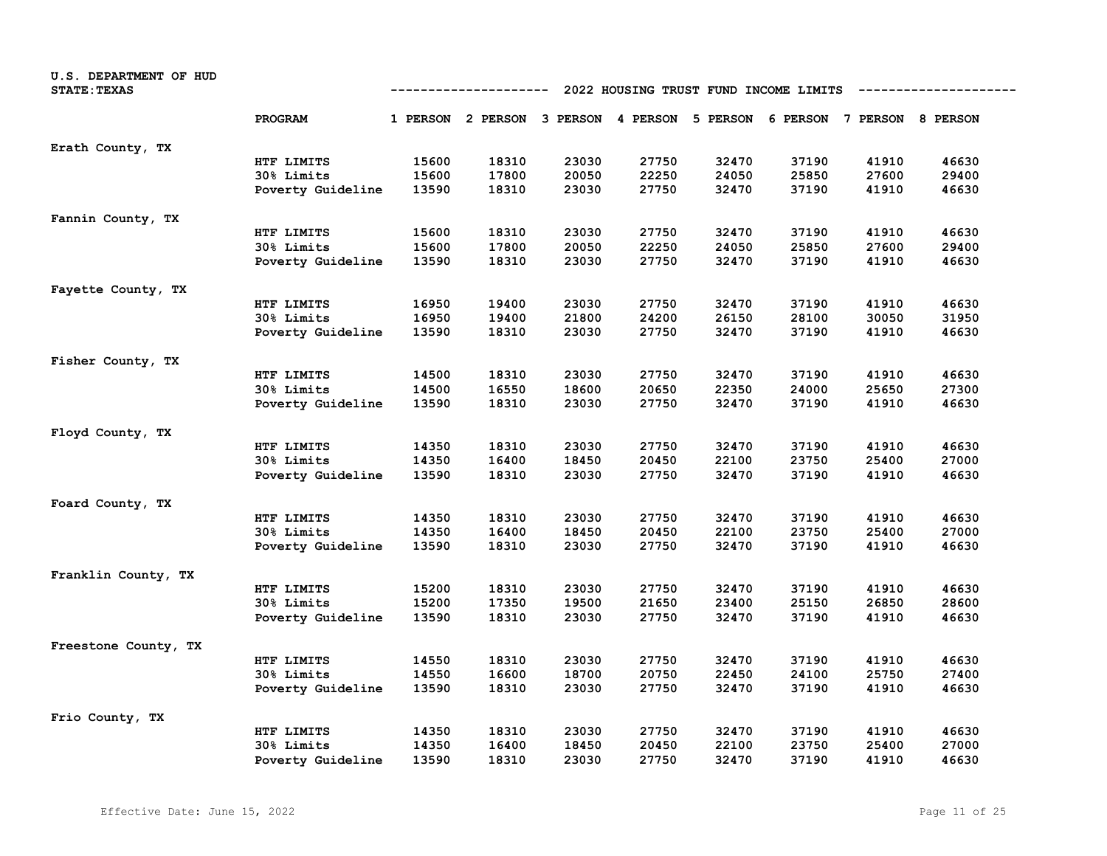| U.S. DEPARTMENT OF HUD<br><b>STATE: TEXAS</b> |                   | 2022 HOUSING TRUST FUND INCOME LIMITS<br>---------- |                                                                         |       |       |       |       |       |       |
|-----------------------------------------------|-------------------|-----------------------------------------------------|-------------------------------------------------------------------------|-------|-------|-------|-------|-------|-------|
|                                               | PROGRAM           |                                                     | 1 PERSON 2 PERSON 3 PERSON 4 PERSON 5 PERSON 6 PERSON 7 PERSON 8 PERSON |       |       |       |       |       |       |
| Erath County, TX                              |                   |                                                     |                                                                         |       |       |       |       |       |       |
|                                               | HTF LIMITS        | 15600                                               | 18310                                                                   | 23030 | 27750 | 32470 | 37190 | 41910 | 46630 |
|                                               | 30% Limits        | 15600                                               | 17800                                                                   | 20050 | 22250 | 24050 | 25850 | 27600 | 29400 |
|                                               | Poverty Guideline | 13590                                               | 18310                                                                   | 23030 | 27750 | 32470 | 37190 | 41910 | 46630 |
| Fannin County, TX                             |                   |                                                     |                                                                         |       |       |       |       |       |       |
|                                               | HTF LIMITS        | 15600                                               | 18310                                                                   | 23030 | 27750 | 32470 | 37190 | 41910 | 46630 |
|                                               | 30% Limits        | 15600                                               | 17800                                                                   | 20050 | 22250 | 24050 | 25850 | 27600 | 29400 |
|                                               | Poverty Guideline | 13590                                               | 18310                                                                   | 23030 | 27750 | 32470 | 37190 | 41910 | 46630 |
| Fayette County, TX                            |                   |                                                     |                                                                         |       |       |       |       |       |       |
|                                               | HTF LIMITS        | 16950                                               | 19400                                                                   | 23030 | 27750 | 32470 | 37190 | 41910 | 46630 |
|                                               | 30% Limits        | 16950                                               | 19400                                                                   | 21800 | 24200 | 26150 | 28100 | 30050 | 31950 |
|                                               | Poverty Guideline | 13590                                               | 18310                                                                   | 23030 | 27750 | 32470 | 37190 | 41910 | 46630 |
| Fisher County, TX                             |                   |                                                     |                                                                         |       |       |       |       |       |       |
|                                               | HTF LIMITS        | 14500                                               | 18310                                                                   | 23030 | 27750 | 32470 | 37190 | 41910 | 46630 |
|                                               | 30% Limits        | 14500                                               | 16550                                                                   | 18600 | 20650 | 22350 | 24000 | 25650 | 27300 |
|                                               | Poverty Guideline | 13590                                               | 18310                                                                   | 23030 | 27750 | 32470 | 37190 | 41910 | 46630 |
| Floyd County, TX                              |                   |                                                     |                                                                         |       |       |       |       |       |       |
|                                               | HTF LIMITS        | 14350                                               | 18310                                                                   | 23030 | 27750 | 32470 | 37190 | 41910 | 46630 |
|                                               | 30% Limits        | 14350                                               | 16400                                                                   | 18450 | 20450 | 22100 | 23750 | 25400 | 27000 |
|                                               | Poverty Guideline | 13590                                               | 18310                                                                   | 23030 | 27750 | 32470 | 37190 | 41910 | 46630 |
| Foard County, TX                              |                   |                                                     |                                                                         |       |       |       |       |       |       |
|                                               | HTF LIMITS        | 14350                                               | 18310                                                                   | 23030 | 27750 | 32470 | 37190 | 41910 | 46630 |
|                                               | 30% Limits        | 14350                                               | 16400                                                                   | 18450 | 20450 | 22100 | 23750 | 25400 | 27000 |
|                                               | Poverty Guideline | 13590                                               | 18310                                                                   | 23030 | 27750 | 32470 | 37190 | 41910 | 46630 |
| Franklin County, TX                           |                   |                                                     |                                                                         |       |       |       |       |       |       |
|                                               | HTF LIMITS        | 15200                                               | 18310                                                                   | 23030 | 27750 | 32470 | 37190 | 41910 | 46630 |
|                                               | 30% Limits        | 15200                                               | 17350                                                                   | 19500 | 21650 | 23400 | 25150 | 26850 | 28600 |
|                                               | Poverty Guideline | 13590                                               | 18310                                                                   | 23030 | 27750 | 32470 | 37190 | 41910 | 46630 |
| Freestone County, TX                          |                   |                                                     |                                                                         |       |       |       |       |       |       |
|                                               | HTF LIMITS        | 14550                                               | 18310                                                                   | 23030 | 27750 | 32470 | 37190 | 41910 | 46630 |
|                                               | 30% Limits        | 14550                                               | 16600                                                                   | 18700 | 20750 | 22450 | 24100 | 25750 | 27400 |
|                                               | Poverty Guideline | 13590                                               | 18310                                                                   | 23030 | 27750 | 32470 | 37190 | 41910 | 46630 |
| Frio County, TX                               |                   |                                                     |                                                                         |       |       |       |       |       |       |
|                                               | HTF LIMITS        | 14350                                               | 18310                                                                   | 23030 | 27750 | 32470 | 37190 | 41910 | 46630 |
|                                               | 30% Limits        | 14350                                               | 16400                                                                   | 18450 | 20450 | 22100 | 23750 | 25400 | 27000 |
|                                               | Poverty Guideline | 13590                                               | 18310                                                                   | 23030 | 27750 | 32470 | 37190 | 41910 | 46630 |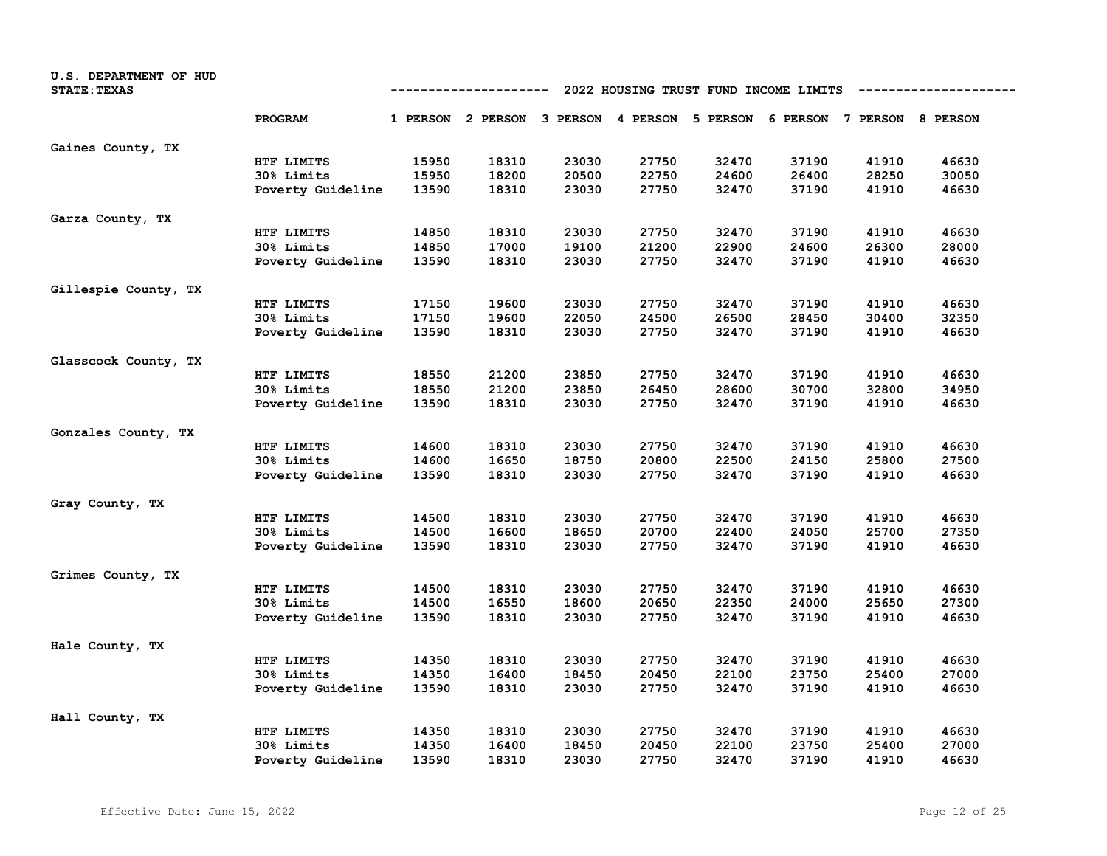| U.S. DEPARTMENT OF HUD<br><b>STATE: TEXAS</b> | 2022 HOUSING TRUST FUND INCOME LIMITS<br>-----------------<br>---------- |       |                                                                         |       |       |       |       |       |       |
|-----------------------------------------------|--------------------------------------------------------------------------|-------|-------------------------------------------------------------------------|-------|-------|-------|-------|-------|-------|
|                                               | PROGRAM                                                                  |       | 1 PERSON 2 PERSON 3 PERSON 4 PERSON 5 PERSON 6 PERSON 7 PERSON 8 PERSON |       |       |       |       |       |       |
| Gaines County, TX                             |                                                                          |       |                                                                         |       |       |       |       |       |       |
|                                               | HTF LIMITS                                                               | 15950 | 18310                                                                   | 23030 | 27750 | 32470 | 37190 | 41910 | 46630 |
|                                               | 30% Limits                                                               | 15950 | 18200                                                                   | 20500 | 22750 | 24600 | 26400 | 28250 | 30050 |
|                                               | Poverty Guideline                                                        | 13590 | 18310                                                                   | 23030 | 27750 | 32470 | 37190 | 41910 | 46630 |
| Garza County, TX                              |                                                                          |       |                                                                         |       |       |       |       |       |       |
|                                               | HTF LIMITS                                                               | 14850 | 18310                                                                   | 23030 | 27750 | 32470 | 37190 | 41910 | 46630 |
|                                               | 30% Limits                                                               | 14850 | 17000                                                                   | 19100 | 21200 | 22900 | 24600 | 26300 | 28000 |
|                                               | Poverty Guideline                                                        | 13590 | 18310                                                                   | 23030 | 27750 | 32470 | 37190 | 41910 | 46630 |
| Gillespie County, TX                          |                                                                          |       |                                                                         |       |       |       |       |       |       |
|                                               | HTF LIMITS                                                               | 17150 | 19600                                                                   | 23030 | 27750 | 32470 | 37190 | 41910 | 46630 |
|                                               | 30% Limits                                                               | 17150 | 19600                                                                   | 22050 | 24500 | 26500 | 28450 | 30400 | 32350 |
|                                               | Poverty Guideline                                                        | 13590 | 18310                                                                   | 23030 | 27750 | 32470 | 37190 | 41910 | 46630 |
| Glasscock County, TX                          |                                                                          |       |                                                                         |       |       |       |       |       |       |
|                                               | HTF LIMITS                                                               | 18550 | 21200                                                                   | 23850 | 27750 | 32470 | 37190 | 41910 | 46630 |
|                                               | 30% Limits                                                               | 18550 | 21200                                                                   | 23850 | 26450 | 28600 | 30700 | 32800 | 34950 |
|                                               | Poverty Guideline                                                        | 13590 | 18310                                                                   | 23030 | 27750 | 32470 | 37190 | 41910 | 46630 |
| Gonzales County, TX                           |                                                                          |       |                                                                         |       |       |       |       |       |       |
|                                               | HTF LIMITS                                                               | 14600 | 18310                                                                   | 23030 | 27750 | 32470 | 37190 | 41910 | 46630 |
|                                               | 30% Limits                                                               | 14600 | 16650                                                                   | 18750 | 20800 | 22500 | 24150 | 25800 | 27500 |
|                                               | Poverty Guideline                                                        | 13590 | 18310                                                                   | 23030 | 27750 | 32470 | 37190 | 41910 | 46630 |
| Gray County, TX                               |                                                                          |       |                                                                         |       |       |       |       |       |       |
|                                               | HTF LIMITS                                                               | 14500 | 18310                                                                   | 23030 | 27750 | 32470 | 37190 | 41910 | 46630 |
|                                               | 30% Limits                                                               | 14500 | 16600                                                                   | 18650 | 20700 | 22400 | 24050 | 25700 | 27350 |
|                                               | Poverty Guideline                                                        | 13590 | 18310                                                                   | 23030 | 27750 | 32470 | 37190 | 41910 | 46630 |
| Grimes County, TX                             |                                                                          |       |                                                                         |       |       |       |       |       |       |
|                                               | HTF LIMITS                                                               | 14500 | 18310                                                                   | 23030 | 27750 | 32470 | 37190 | 41910 | 46630 |
|                                               | 30% Limits                                                               | 14500 | 16550                                                                   | 18600 | 20650 | 22350 | 24000 | 25650 | 27300 |
|                                               | Poverty Guideline                                                        | 13590 | 18310                                                                   | 23030 | 27750 | 32470 | 37190 | 41910 | 46630 |
| Hale County, TX                               |                                                                          |       |                                                                         |       |       |       |       |       |       |
|                                               | HTF LIMITS                                                               | 14350 | 18310                                                                   | 23030 | 27750 | 32470 | 37190 | 41910 | 46630 |
|                                               | 30% Limits                                                               | 14350 | 16400                                                                   | 18450 | 20450 | 22100 | 23750 | 25400 | 27000 |
|                                               | Poverty Guideline                                                        | 13590 | 18310                                                                   | 23030 | 27750 | 32470 | 37190 | 41910 | 46630 |
| Hall County, TX                               |                                                                          |       |                                                                         |       |       |       |       |       |       |
|                                               | HTF LIMITS                                                               | 14350 | 18310                                                                   | 23030 | 27750 | 32470 | 37190 | 41910 | 46630 |
|                                               | 30% Limits                                                               | 14350 | 16400                                                                   | 18450 | 20450 | 22100 | 23750 | 25400 | 27000 |
|                                               | Poverty Guideline                                                        | 13590 | 18310                                                                   | 23030 | 27750 | 32470 | 37190 | 41910 | 46630 |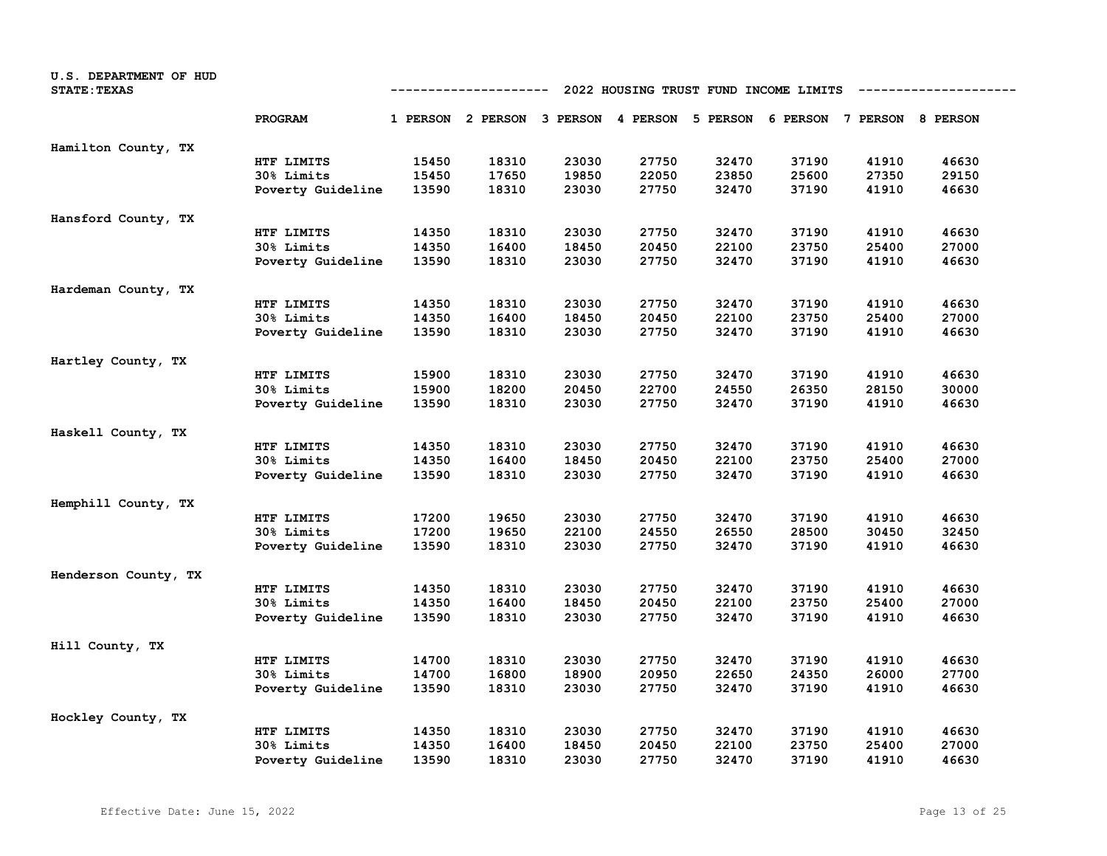| U.S. DEPARTMENT OF HUD<br><b>STATE: TEXAS</b> | 2022 HOUSING TRUST FUND INCOME LIMITS<br>---------- |       |                                                                         |       |       |       |       |       |       |
|-----------------------------------------------|-----------------------------------------------------|-------|-------------------------------------------------------------------------|-------|-------|-------|-------|-------|-------|
|                                               | PROGRAM                                             |       | 1 PERSON 2 PERSON 3 PERSON 4 PERSON 5 PERSON 6 PERSON 7 PERSON 8 PERSON |       |       |       |       |       |       |
| Hamilton County, TX                           |                                                     |       |                                                                         |       |       |       |       |       |       |
|                                               | HTF LIMITS                                          | 15450 | 18310                                                                   | 23030 | 27750 | 32470 | 37190 | 41910 | 46630 |
|                                               | 30% Limits                                          | 15450 | 17650                                                                   | 19850 | 22050 | 23850 | 25600 | 27350 | 29150 |
|                                               | Poverty Guideline                                   | 13590 | 18310                                                                   | 23030 | 27750 | 32470 | 37190 | 41910 | 46630 |
| Hansford County, TX                           |                                                     |       |                                                                         |       |       |       |       |       |       |
|                                               | HTF LIMITS                                          | 14350 | 18310                                                                   | 23030 | 27750 | 32470 | 37190 | 41910 | 46630 |
|                                               | 30% Limits                                          | 14350 | 16400                                                                   | 18450 | 20450 | 22100 | 23750 | 25400 | 27000 |
|                                               | Poverty Guideline                                   | 13590 | 18310                                                                   | 23030 | 27750 | 32470 | 37190 | 41910 | 46630 |
| Hardeman County, TX                           |                                                     |       |                                                                         |       |       |       |       |       |       |
|                                               | HTF LIMITS                                          | 14350 | 18310                                                                   | 23030 | 27750 | 32470 | 37190 | 41910 | 46630 |
|                                               | 30% Limits                                          | 14350 | 16400                                                                   | 18450 | 20450 | 22100 | 23750 | 25400 | 27000 |
|                                               | Poverty Guideline                                   | 13590 | 18310                                                                   | 23030 | 27750 | 32470 | 37190 | 41910 | 46630 |
| Hartley County, TX                            |                                                     |       |                                                                         |       |       |       |       |       |       |
|                                               | HTF LIMITS                                          | 15900 | 18310                                                                   | 23030 | 27750 | 32470 | 37190 | 41910 | 46630 |
|                                               | 30% Limits                                          | 15900 | 18200                                                                   | 20450 | 22700 | 24550 | 26350 | 28150 | 30000 |
|                                               | Poverty Guideline                                   | 13590 | 18310                                                                   | 23030 | 27750 | 32470 | 37190 | 41910 | 46630 |
| Haskell County, TX                            |                                                     |       |                                                                         |       |       |       |       |       |       |
|                                               | HTF LIMITS                                          | 14350 | 18310                                                                   | 23030 | 27750 | 32470 | 37190 | 41910 | 46630 |
|                                               | 30% Limits                                          | 14350 | 16400                                                                   | 18450 | 20450 | 22100 | 23750 | 25400 | 27000 |
|                                               | Poverty Guideline                                   | 13590 | 18310                                                                   | 23030 | 27750 | 32470 | 37190 | 41910 | 46630 |
| Hemphill County, TX                           |                                                     |       |                                                                         |       |       |       |       |       |       |
|                                               | HTF LIMITS                                          | 17200 | 19650                                                                   | 23030 | 27750 | 32470 | 37190 | 41910 | 46630 |
|                                               | 30% Limits                                          | 17200 | 19650                                                                   | 22100 | 24550 | 26550 | 28500 | 30450 | 32450 |
|                                               | Poverty Guideline                                   | 13590 | 18310                                                                   | 23030 | 27750 | 32470 | 37190 | 41910 | 46630 |
| Henderson County, TX                          |                                                     |       |                                                                         |       |       |       |       |       |       |
|                                               | HTF LIMITS                                          | 14350 | 18310                                                                   | 23030 | 27750 | 32470 | 37190 | 41910 | 46630 |
|                                               | 30% Limits                                          | 14350 | 16400                                                                   | 18450 | 20450 | 22100 | 23750 | 25400 | 27000 |
|                                               | Poverty Guideline                                   | 13590 | 18310                                                                   | 23030 | 27750 | 32470 | 37190 | 41910 | 46630 |
| Hill County, TX                               |                                                     |       |                                                                         |       |       |       |       |       |       |
|                                               | HTF LIMITS                                          | 14700 | 18310                                                                   | 23030 | 27750 | 32470 | 37190 | 41910 | 46630 |
|                                               | 30% Limits                                          | 14700 | 16800                                                                   | 18900 | 20950 | 22650 | 24350 | 26000 | 27700 |
|                                               | Poverty Guideline                                   | 13590 | 18310                                                                   | 23030 | 27750 | 32470 | 37190 | 41910 | 46630 |
| Hockley County, TX                            |                                                     |       |                                                                         |       |       |       |       |       |       |
|                                               | HTF LIMITS                                          | 14350 | 18310                                                                   | 23030 | 27750 | 32470 | 37190 | 41910 | 46630 |
|                                               | 30% Limits                                          | 14350 | 16400                                                                   | 18450 | 20450 | 22100 | 23750 | 25400 | 27000 |
|                                               | Poverty Guideline                                   | 13590 | 18310                                                                   | 23030 | 27750 | 32470 | 37190 | 41910 | 46630 |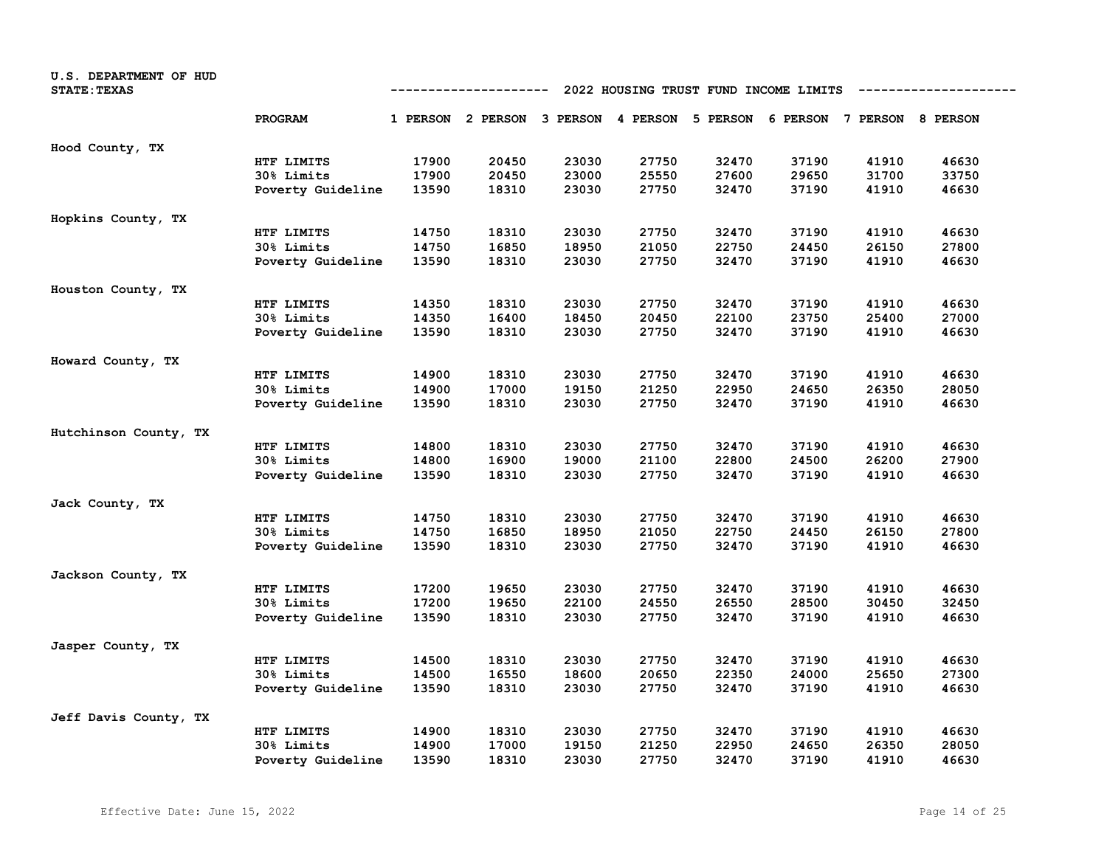| U.S. DEPARTMENT OF HUD<br><b>STATE: TEXAS</b> | 2022 HOUSING TRUST FUND INCOME LIMITS<br>-----------------<br>---------- |       |                                                                         |       |       |       |       |       |       |
|-----------------------------------------------|--------------------------------------------------------------------------|-------|-------------------------------------------------------------------------|-------|-------|-------|-------|-------|-------|
|                                               | <b>PROGRAM</b>                                                           |       | 1 PERSON 2 PERSON 3 PERSON 4 PERSON 5 PERSON 6 PERSON 7 PERSON 8 PERSON |       |       |       |       |       |       |
| Hood County, TX                               |                                                                          |       |                                                                         |       |       |       |       |       |       |
|                                               | HTF LIMITS                                                               | 17900 | 20450                                                                   | 23030 | 27750 | 32470 | 37190 | 41910 | 46630 |
|                                               | 30% Limits                                                               | 17900 | 20450                                                                   | 23000 | 25550 | 27600 | 29650 | 31700 | 33750 |
|                                               | Poverty Guideline                                                        | 13590 | 18310                                                                   | 23030 | 27750 | 32470 | 37190 | 41910 | 46630 |
| Hopkins County, TX                            |                                                                          |       |                                                                         |       |       |       |       |       |       |
|                                               | HTF LIMITS                                                               | 14750 | 18310                                                                   | 23030 | 27750 | 32470 | 37190 | 41910 | 46630 |
|                                               | 30% Limits                                                               | 14750 | 16850                                                                   | 18950 | 21050 | 22750 | 24450 | 26150 | 27800 |
|                                               | Poverty Guideline                                                        | 13590 | 18310                                                                   | 23030 | 27750 | 32470 | 37190 | 41910 | 46630 |
| Houston County, TX                            |                                                                          |       |                                                                         |       |       |       |       |       |       |
|                                               | HTF LIMITS                                                               | 14350 | 18310                                                                   | 23030 | 27750 | 32470 | 37190 | 41910 | 46630 |
|                                               | 30% Limits                                                               | 14350 | 16400                                                                   | 18450 | 20450 | 22100 | 23750 | 25400 | 27000 |
|                                               | Poverty Guideline                                                        | 13590 | 18310                                                                   | 23030 | 27750 | 32470 | 37190 | 41910 | 46630 |
| Howard County, TX                             |                                                                          |       |                                                                         |       |       |       |       |       |       |
|                                               | HTF LIMITS                                                               | 14900 | 18310                                                                   | 23030 | 27750 | 32470 | 37190 | 41910 | 46630 |
|                                               | <b>30% Limits</b>                                                        | 14900 | 17000                                                                   | 19150 | 21250 | 22950 | 24650 | 26350 | 28050 |
|                                               | Poverty Guideline                                                        | 13590 | 18310                                                                   | 23030 | 27750 | 32470 | 37190 | 41910 | 46630 |
| Hutchinson County, TX                         |                                                                          |       |                                                                         |       |       |       |       |       |       |
|                                               | HTF LIMITS                                                               | 14800 | 18310                                                                   | 23030 | 27750 | 32470 | 37190 | 41910 | 46630 |
|                                               | 30% Limits                                                               | 14800 | 16900                                                                   | 19000 | 21100 | 22800 | 24500 | 26200 | 27900 |
|                                               | Poverty Guideline                                                        | 13590 | 18310                                                                   | 23030 | 27750 | 32470 | 37190 | 41910 | 46630 |
| Jack County, TX                               |                                                                          |       |                                                                         |       |       |       |       |       |       |
|                                               | HTF LIMITS                                                               | 14750 | 18310                                                                   | 23030 | 27750 | 32470 | 37190 | 41910 | 46630 |
|                                               | 30% Limits                                                               | 14750 | 16850                                                                   | 18950 | 21050 | 22750 | 24450 | 26150 | 27800 |
|                                               | Poverty Guideline                                                        | 13590 | 18310                                                                   | 23030 | 27750 | 32470 | 37190 | 41910 | 46630 |
| Jackson County, TX                            |                                                                          |       |                                                                         |       |       |       |       |       |       |
|                                               | HTF LIMITS                                                               | 17200 | 19650                                                                   | 23030 | 27750 | 32470 | 37190 | 41910 | 46630 |
|                                               | 30% Limits                                                               | 17200 | 19650                                                                   | 22100 | 24550 | 26550 | 28500 | 30450 | 32450 |
|                                               | Poverty Guideline                                                        | 13590 | 18310                                                                   | 23030 | 27750 | 32470 | 37190 | 41910 | 46630 |
| Jasper County, TX                             |                                                                          |       |                                                                         |       |       |       |       |       |       |
|                                               | HTF LIMITS                                                               | 14500 | 18310                                                                   | 23030 | 27750 | 32470 | 37190 | 41910 | 46630 |
|                                               | 30% Limits                                                               | 14500 | 16550                                                                   | 18600 | 20650 | 22350 | 24000 | 25650 | 27300 |
|                                               | Poverty Guideline                                                        | 13590 | 18310                                                                   | 23030 | 27750 | 32470 | 37190 | 41910 | 46630 |
| Jeff Davis County, TX                         |                                                                          |       |                                                                         |       |       |       |       |       |       |
|                                               | HTF LIMITS                                                               | 14900 | 18310                                                                   | 23030 | 27750 | 32470 | 37190 | 41910 | 46630 |
|                                               | <b>30% Limits</b>                                                        | 14900 | 17000                                                                   | 19150 | 21250 | 22950 | 24650 | 26350 | 28050 |
|                                               | Poverty Guideline                                                        | 13590 | 18310                                                                   | 23030 | 27750 | 32470 | 37190 | 41910 | 46630 |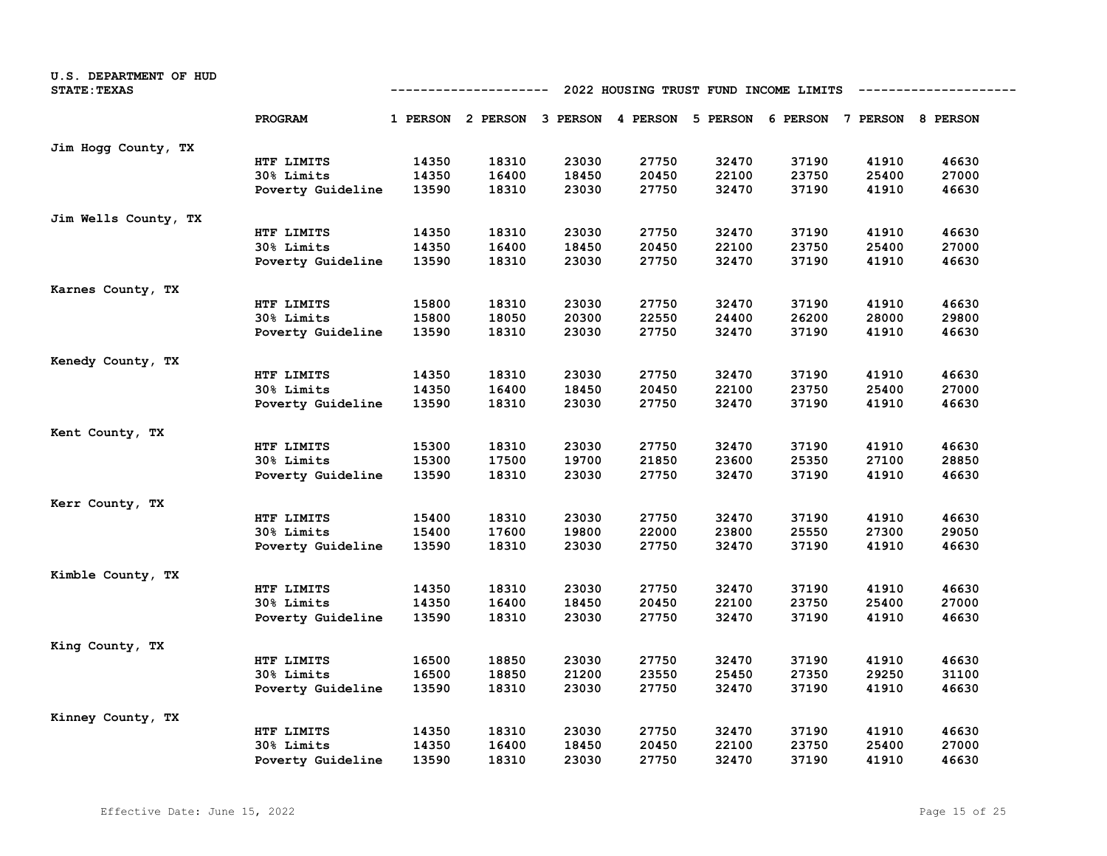| U.S. DEPARTMENT OF HUD<br><b>STATE: TEXAS</b> | 2022 HOUSING TRUST FUND INCOME LIMITS<br>---------- |       |                                                                         |       |       |       |       |       |       |
|-----------------------------------------------|-----------------------------------------------------|-------|-------------------------------------------------------------------------|-------|-------|-------|-------|-------|-------|
|                                               | PROGRAM                                             |       | 1 PERSON 2 PERSON 3 PERSON 4 PERSON 5 PERSON 6 PERSON 7 PERSON 8 PERSON |       |       |       |       |       |       |
| Jim Hogg County, TX                           |                                                     |       |                                                                         |       |       |       |       |       |       |
|                                               | HTF LIMITS                                          | 14350 | 18310                                                                   | 23030 | 27750 | 32470 | 37190 | 41910 | 46630 |
|                                               | 30% Limits                                          | 14350 | 16400                                                                   | 18450 | 20450 | 22100 | 23750 | 25400 | 27000 |
|                                               | Poverty Guideline                                   | 13590 | 18310                                                                   | 23030 | 27750 | 32470 | 37190 | 41910 | 46630 |
| Jim Wells County, TX                          |                                                     |       |                                                                         |       |       |       |       |       |       |
|                                               | HTF LIMITS                                          | 14350 | 18310                                                                   | 23030 | 27750 | 32470 | 37190 | 41910 | 46630 |
|                                               | 30% Limits                                          | 14350 | 16400                                                                   | 18450 | 20450 | 22100 | 23750 | 25400 | 27000 |
|                                               | Poverty Guideline                                   | 13590 | 18310                                                                   | 23030 | 27750 | 32470 | 37190 | 41910 | 46630 |
| Karnes County, TX                             |                                                     |       |                                                                         |       |       |       |       |       |       |
|                                               | HTF LIMITS                                          | 15800 | 18310                                                                   | 23030 | 27750 | 32470 | 37190 | 41910 | 46630 |
|                                               | 30% Limits                                          | 15800 | 18050                                                                   | 20300 | 22550 | 24400 | 26200 | 28000 | 29800 |
|                                               | Poverty Guideline                                   | 13590 | 18310                                                                   | 23030 | 27750 | 32470 | 37190 | 41910 | 46630 |
| Kenedy County, TX                             |                                                     |       |                                                                         |       |       |       |       |       |       |
|                                               | HTF LIMITS                                          | 14350 | 18310                                                                   | 23030 | 27750 | 32470 | 37190 | 41910 | 46630 |
|                                               | 30% Limits                                          | 14350 | 16400                                                                   | 18450 | 20450 | 22100 | 23750 | 25400 | 27000 |
|                                               | Poverty Guideline                                   | 13590 | 18310                                                                   | 23030 | 27750 | 32470 | 37190 | 41910 | 46630 |
| Kent County, TX                               |                                                     |       |                                                                         |       |       |       |       |       |       |
|                                               | HTF LIMITS                                          | 15300 | 18310                                                                   | 23030 | 27750 | 32470 | 37190 | 41910 | 46630 |
|                                               | 30% Limits                                          | 15300 | 17500                                                                   | 19700 | 21850 | 23600 | 25350 | 27100 | 28850 |
|                                               | Poverty Guideline                                   | 13590 | 18310                                                                   | 23030 | 27750 | 32470 | 37190 | 41910 | 46630 |
| Kerr County, TX                               |                                                     |       |                                                                         |       |       |       |       |       |       |
|                                               | HTF LIMITS                                          | 15400 | 18310                                                                   | 23030 | 27750 | 32470 | 37190 | 41910 | 46630 |
|                                               | <b>30% Limits</b>                                   | 15400 | 17600                                                                   | 19800 | 22000 | 23800 | 25550 | 27300 | 29050 |
|                                               | Poverty Guideline                                   | 13590 | 18310                                                                   | 23030 | 27750 | 32470 | 37190 | 41910 | 46630 |
| Kimble County, TX                             |                                                     |       |                                                                         |       |       |       |       |       |       |
|                                               | HTF LIMITS                                          | 14350 | 18310                                                                   | 23030 | 27750 | 32470 | 37190 | 41910 | 46630 |
|                                               | 30% Limits                                          | 14350 | 16400                                                                   | 18450 | 20450 | 22100 | 23750 | 25400 | 27000 |
|                                               | Poverty Guideline                                   | 13590 | 18310                                                                   | 23030 | 27750 | 32470 | 37190 | 41910 | 46630 |
| King County, TX                               |                                                     |       |                                                                         |       |       |       |       |       |       |
|                                               | HTF LIMITS                                          | 16500 | 18850                                                                   | 23030 | 27750 | 32470 | 37190 | 41910 | 46630 |
|                                               | 30% Limits                                          | 16500 | 18850                                                                   | 21200 | 23550 | 25450 | 27350 | 29250 | 31100 |
|                                               | Poverty Guideline                                   | 13590 | 18310                                                                   | 23030 | 27750 | 32470 | 37190 | 41910 | 46630 |
| Kinney County, TX                             |                                                     |       |                                                                         |       |       |       |       |       |       |
|                                               | HTF LIMITS                                          | 14350 | 18310                                                                   | 23030 | 27750 | 32470 | 37190 | 41910 | 46630 |
|                                               | 30% Limits                                          | 14350 | 16400                                                                   | 18450 | 20450 | 22100 | 23750 | 25400 | 27000 |
|                                               | Poverty Guideline                                   | 13590 | 18310                                                                   | 23030 | 27750 | 32470 | 37190 | 41910 | 46630 |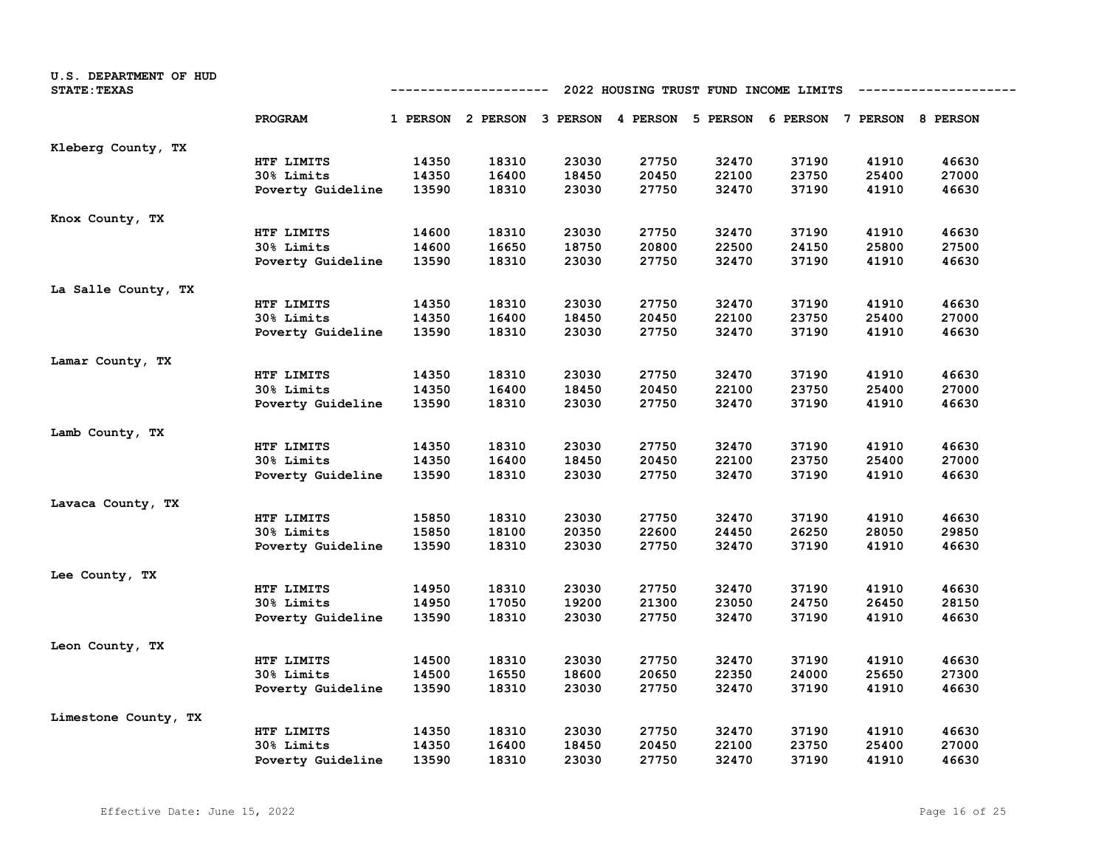| U.S. DEPARTMENT OF HUD<br><b>STATE: TEXAS</b> |                   |       | 2022 HOUSING TRUST FUND INCOME LIMITS<br>-----------------<br>---------- |       |       |                                                       |       |       |       |  |  |  |
|-----------------------------------------------|-------------------|-------|--------------------------------------------------------------------------|-------|-------|-------------------------------------------------------|-------|-------|-------|--|--|--|
|                                               | PROGRAM           |       | 1 PERSON 2 PERSON                                                        |       |       | 3 PERSON 4 PERSON 5 PERSON 6 PERSON 7 PERSON 8 PERSON |       |       |       |  |  |  |
| Kleberg County, TX                            |                   |       |                                                                          |       |       |                                                       |       |       |       |  |  |  |
|                                               | HTF LIMITS        | 14350 | 18310                                                                    | 23030 | 27750 | 32470                                                 | 37190 | 41910 | 46630 |  |  |  |
|                                               | 30% Limits        | 14350 | 16400                                                                    | 18450 | 20450 | 22100                                                 | 23750 | 25400 | 27000 |  |  |  |
|                                               | Poverty Guideline | 13590 | 18310                                                                    | 23030 | 27750 | 32470                                                 | 37190 | 41910 | 46630 |  |  |  |
| Knox County, TX                               |                   |       |                                                                          |       |       |                                                       |       |       |       |  |  |  |
|                                               | HTF LIMITS        | 14600 | 18310                                                                    | 23030 | 27750 | 32470                                                 | 37190 | 41910 | 46630 |  |  |  |
|                                               | 30% Limits        | 14600 | 16650                                                                    | 18750 | 20800 | 22500                                                 | 24150 | 25800 | 27500 |  |  |  |
|                                               | Poverty Guideline | 13590 | 18310                                                                    | 23030 | 27750 | 32470                                                 | 37190 | 41910 | 46630 |  |  |  |
| La Salle County, TX                           |                   |       |                                                                          |       |       |                                                       |       |       |       |  |  |  |
|                                               | HTF LIMITS        | 14350 | 18310                                                                    | 23030 | 27750 | 32470                                                 | 37190 | 41910 | 46630 |  |  |  |
|                                               | 30% Limits        | 14350 | 16400                                                                    | 18450 | 20450 | 22100                                                 | 23750 | 25400 | 27000 |  |  |  |
|                                               | Poverty Guideline | 13590 | 18310                                                                    | 23030 | 27750 | 32470                                                 | 37190 | 41910 | 46630 |  |  |  |
| Lamar County, TX                              |                   |       |                                                                          |       |       |                                                       |       |       |       |  |  |  |
|                                               | HTF LIMITS        | 14350 | 18310                                                                    | 23030 | 27750 | 32470                                                 | 37190 | 41910 | 46630 |  |  |  |
|                                               | 30% Limits        | 14350 | 16400                                                                    | 18450 | 20450 | 22100                                                 | 23750 | 25400 | 27000 |  |  |  |
|                                               | Poverty Guideline | 13590 | 18310                                                                    | 23030 | 27750 | 32470                                                 | 37190 | 41910 | 46630 |  |  |  |
| Lamb County, TX                               |                   |       |                                                                          |       |       |                                                       |       |       |       |  |  |  |
|                                               | HTF LIMITS        | 14350 | 18310                                                                    | 23030 | 27750 | 32470                                                 | 37190 | 41910 | 46630 |  |  |  |
|                                               | 30% Limits        | 14350 | 16400                                                                    | 18450 | 20450 | 22100                                                 | 23750 | 25400 | 27000 |  |  |  |
|                                               | Poverty Guideline | 13590 | 18310                                                                    | 23030 | 27750 | 32470                                                 | 37190 | 41910 | 46630 |  |  |  |
| Lavaca County, TX                             |                   |       |                                                                          |       |       |                                                       |       |       |       |  |  |  |
|                                               | HTF LIMITS        | 15850 | 18310                                                                    | 23030 | 27750 | 32470                                                 | 37190 | 41910 | 46630 |  |  |  |
|                                               | 30% Limits        | 15850 | 18100                                                                    | 20350 | 22600 | 24450                                                 | 26250 | 28050 | 29850 |  |  |  |
|                                               | Poverty Guideline | 13590 | 18310                                                                    | 23030 | 27750 | 32470                                                 | 37190 | 41910 | 46630 |  |  |  |
| Lee County, TX                                |                   |       |                                                                          |       |       |                                                       |       |       |       |  |  |  |
|                                               | HTF LIMITS        | 14950 | 18310                                                                    | 23030 | 27750 | 32470                                                 | 37190 | 41910 | 46630 |  |  |  |
|                                               | 30% Limits        | 14950 | 17050                                                                    | 19200 | 21300 | 23050                                                 | 24750 | 26450 | 28150 |  |  |  |
|                                               | Poverty Guideline | 13590 | 18310                                                                    | 23030 | 27750 | 32470                                                 | 37190 | 41910 | 46630 |  |  |  |
| Leon County, TX                               |                   |       |                                                                          |       |       |                                                       |       |       |       |  |  |  |
|                                               | HTF LIMITS        | 14500 | 18310                                                                    | 23030 | 27750 | 32470                                                 | 37190 | 41910 | 46630 |  |  |  |
|                                               | 30% Limits        | 14500 | 16550                                                                    | 18600 | 20650 | 22350                                                 | 24000 | 25650 | 27300 |  |  |  |
|                                               | Poverty Guideline | 13590 | 18310                                                                    | 23030 | 27750 | 32470                                                 | 37190 | 41910 | 46630 |  |  |  |
| Limestone County, TX                          |                   |       |                                                                          |       |       |                                                       |       |       |       |  |  |  |
|                                               | HTF LIMITS        | 14350 | 18310                                                                    | 23030 | 27750 | 32470                                                 | 37190 | 41910 | 46630 |  |  |  |
|                                               | 30% Limits        | 14350 | 16400                                                                    | 18450 | 20450 | 22100                                                 | 23750 | 25400 | 27000 |  |  |  |
|                                               | Poverty Guideline | 13590 | 18310                                                                    | 23030 | 27750 | 32470                                                 | 37190 | 41910 | 46630 |  |  |  |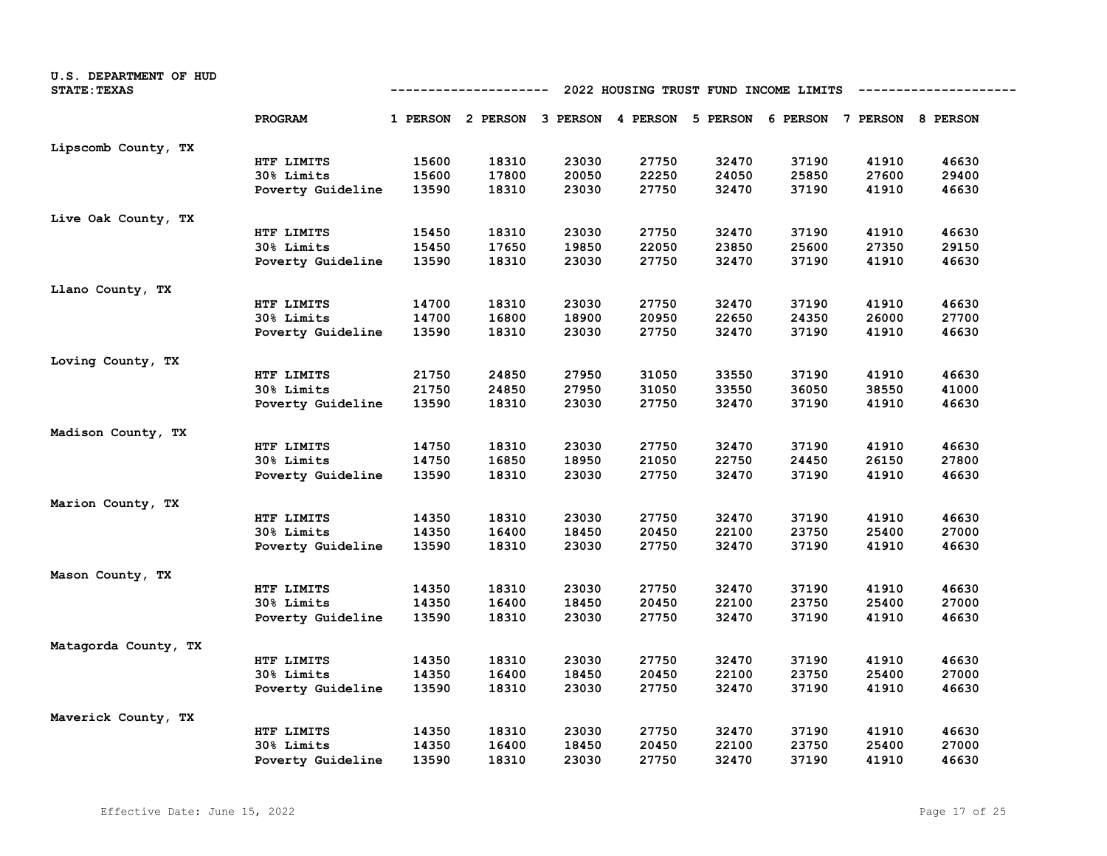| U.S. DEPARTMENT OF HUD<br><b>STATE: TEXAS</b> |                   | 2022 HOUSING TRUST FUND INCOME LIMITS<br>---------- |                                                                         |       |       |       |       |       |       |
|-----------------------------------------------|-------------------|-----------------------------------------------------|-------------------------------------------------------------------------|-------|-------|-------|-------|-------|-------|
|                                               | <b>PROGRAM</b>    |                                                     | 1 PERSON 2 PERSON 3 PERSON 4 PERSON 5 PERSON 6 PERSON 7 PERSON 8 PERSON |       |       |       |       |       |       |
| Lipscomb County, TX                           |                   |                                                     |                                                                         |       |       |       |       |       |       |
|                                               | HTF LIMITS        | 15600                                               | 18310                                                                   | 23030 | 27750 | 32470 | 37190 | 41910 | 46630 |
|                                               | 30% Limits        | 15600                                               | 17800                                                                   | 20050 | 22250 | 24050 | 25850 | 27600 | 29400 |
|                                               | Poverty Guideline | 13590                                               | 18310                                                                   | 23030 | 27750 | 32470 | 37190 | 41910 | 46630 |
| Live Oak County, TX                           |                   |                                                     |                                                                         |       |       |       |       |       |       |
|                                               | HTF LIMITS        | 15450                                               | 18310                                                                   | 23030 | 27750 | 32470 | 37190 | 41910 | 46630 |
|                                               | 30% Limits        | 15450                                               | 17650                                                                   | 19850 | 22050 | 23850 | 25600 | 27350 | 29150 |
|                                               | Poverty Guideline | 13590                                               | 18310                                                                   | 23030 | 27750 | 32470 | 37190 | 41910 | 46630 |
| Llano County, TX                              |                   |                                                     |                                                                         |       |       |       |       |       |       |
|                                               | HTF LIMITS        | 14700                                               | 18310                                                                   | 23030 | 27750 | 32470 | 37190 | 41910 | 46630 |
|                                               | 30% Limits        | 14700                                               | 16800                                                                   | 18900 | 20950 | 22650 | 24350 | 26000 | 27700 |
|                                               | Poverty Guideline | 13590                                               | 18310                                                                   | 23030 | 27750 | 32470 | 37190 | 41910 | 46630 |
| Loving County, TX                             |                   |                                                     |                                                                         |       |       |       |       |       |       |
|                                               | HTF LIMITS        | 21750                                               | 24850                                                                   | 27950 | 31050 | 33550 | 37190 | 41910 | 46630 |
|                                               | 30% Limits        | 21750                                               | 24850                                                                   | 27950 | 31050 | 33550 | 36050 | 38550 | 41000 |
|                                               | Poverty Guideline | 13590                                               | 18310                                                                   | 23030 | 27750 | 32470 | 37190 | 41910 | 46630 |
| Madison County, TX                            |                   |                                                     |                                                                         |       |       |       |       |       |       |
|                                               | HTF LIMITS        | 14750                                               | 18310                                                                   | 23030 | 27750 | 32470 | 37190 | 41910 | 46630 |
|                                               | 30% Limits        | 14750                                               | 16850                                                                   | 18950 | 21050 | 22750 | 24450 | 26150 | 27800 |
|                                               | Poverty Guideline | 13590                                               | 18310                                                                   | 23030 | 27750 | 32470 | 37190 | 41910 | 46630 |
| Marion County, TX                             |                   |                                                     |                                                                         |       |       |       |       |       |       |
|                                               | HTF LIMITS        | 14350                                               | 18310                                                                   | 23030 | 27750 | 32470 | 37190 | 41910 | 46630 |
|                                               | 30% Limits        | 14350                                               | 16400                                                                   | 18450 | 20450 | 22100 | 23750 | 25400 | 27000 |
|                                               | Poverty Guideline | 13590                                               | 18310                                                                   | 23030 | 27750 | 32470 | 37190 | 41910 | 46630 |
| Mason County, TX                              |                   |                                                     |                                                                         |       |       |       |       |       |       |
|                                               | HTF LIMITS        | 14350                                               | 18310                                                                   | 23030 | 27750 | 32470 | 37190 | 41910 | 46630 |
|                                               | <b>30% Limits</b> | 14350                                               | 16400                                                                   | 18450 | 20450 | 22100 | 23750 | 25400 | 27000 |
|                                               | Poverty Guideline | 13590                                               | 18310                                                                   | 23030 | 27750 | 32470 | 37190 | 41910 | 46630 |
| Matagorda County, TX                          |                   |                                                     |                                                                         |       |       |       |       |       |       |
|                                               | HTF LIMITS        | 14350                                               | 18310                                                                   | 23030 | 27750 | 32470 | 37190 | 41910 | 46630 |
|                                               | 30% Limits        | 14350                                               | 16400                                                                   | 18450 | 20450 | 22100 | 23750 | 25400 | 27000 |
|                                               | Poverty Guideline | 13590                                               | 18310                                                                   | 23030 | 27750 | 32470 | 37190 | 41910 | 46630 |
| Maverick County, TX                           |                   |                                                     |                                                                         |       |       |       |       |       |       |
|                                               | HTF LIMITS        | 14350                                               | 18310                                                                   | 23030 | 27750 | 32470 | 37190 | 41910 | 46630 |
|                                               | <b>30% Limits</b> | 14350                                               | 16400                                                                   | 18450 | 20450 | 22100 | 23750 | 25400 | 27000 |
|                                               | Poverty Guideline | 13590                                               | 18310                                                                   | 23030 | 27750 | 32470 | 37190 | 41910 | 46630 |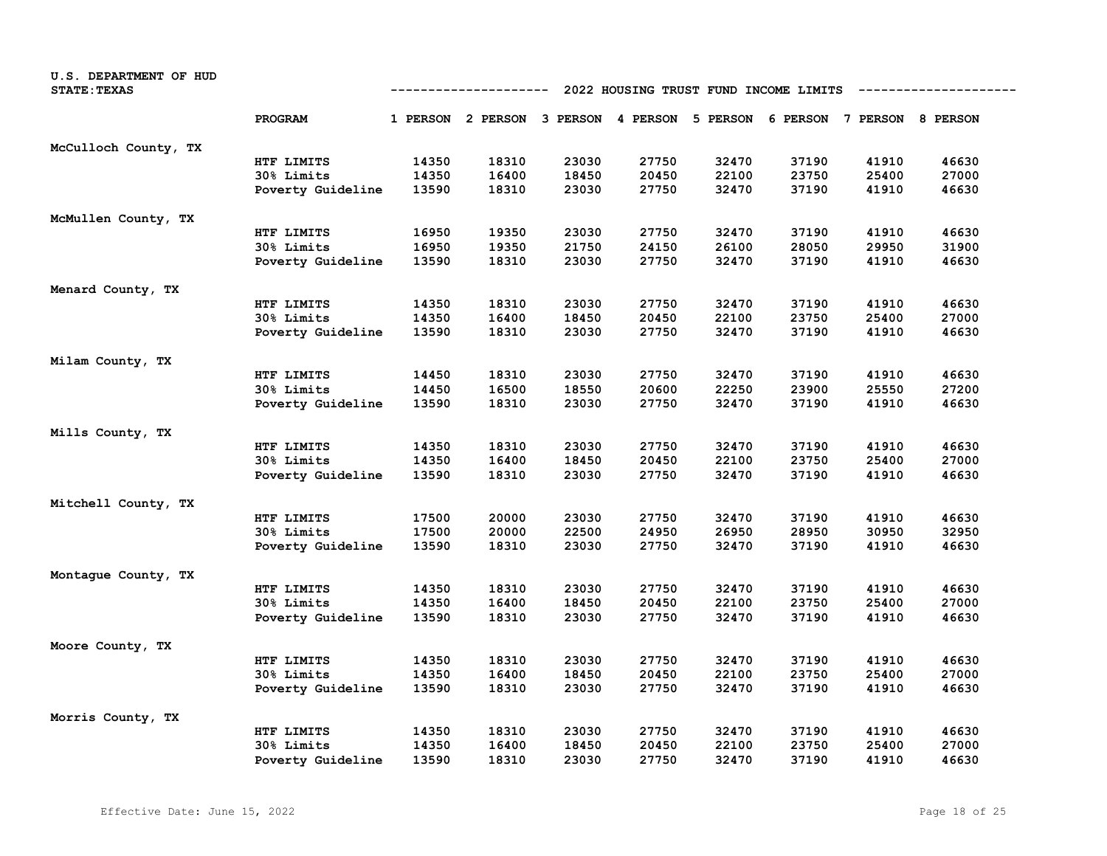| U.S. DEPARTMENT OF HUD<br><b>STATE: TEXAS</b> | 2022 HOUSING TRUST FUND INCOME LIMITS<br>---------- |       |                                                                         |       |       |       |       |       |       |
|-----------------------------------------------|-----------------------------------------------------|-------|-------------------------------------------------------------------------|-------|-------|-------|-------|-------|-------|
|                                               | PROGRAM                                             |       | 1 PERSON 2 PERSON 3 PERSON 4 PERSON 5 PERSON 6 PERSON 7 PERSON 8 PERSON |       |       |       |       |       |       |
| McCulloch County, TX                          |                                                     |       |                                                                         |       |       |       |       |       |       |
|                                               | HTF LIMITS                                          | 14350 | 18310                                                                   | 23030 | 27750 | 32470 | 37190 | 41910 | 46630 |
|                                               | 30% Limits                                          | 14350 | 16400                                                                   | 18450 | 20450 | 22100 | 23750 | 25400 | 27000 |
|                                               | Poverty Guideline                                   | 13590 | 18310                                                                   | 23030 | 27750 | 32470 | 37190 | 41910 | 46630 |
| McMullen County, TX                           |                                                     |       |                                                                         |       |       |       |       |       |       |
|                                               | HTF LIMITS                                          | 16950 | 19350                                                                   | 23030 | 27750 | 32470 | 37190 | 41910 | 46630 |
|                                               | 30% Limits                                          | 16950 | 19350                                                                   | 21750 | 24150 | 26100 | 28050 | 29950 | 31900 |
|                                               | Poverty Guideline                                   | 13590 | 18310                                                                   | 23030 | 27750 | 32470 | 37190 | 41910 | 46630 |
| Menard County, TX                             |                                                     |       |                                                                         |       |       |       |       |       |       |
|                                               | HTF LIMITS                                          | 14350 | 18310                                                                   | 23030 | 27750 | 32470 | 37190 | 41910 | 46630 |
|                                               | 30% Limits                                          | 14350 | 16400                                                                   | 18450 | 20450 | 22100 | 23750 | 25400 | 27000 |
|                                               | Poverty Guideline                                   | 13590 | 18310                                                                   | 23030 | 27750 | 32470 | 37190 | 41910 | 46630 |
| Milam County, TX                              |                                                     |       |                                                                         |       |       |       |       |       |       |
|                                               | HTF LIMITS                                          | 14450 | 18310                                                                   | 23030 | 27750 | 32470 | 37190 | 41910 | 46630 |
|                                               | 30% Limits                                          | 14450 | 16500                                                                   | 18550 | 20600 | 22250 | 23900 | 25550 | 27200 |
|                                               | Poverty Guideline                                   | 13590 | 18310                                                                   | 23030 | 27750 | 32470 | 37190 | 41910 | 46630 |
| Mills County, TX                              |                                                     |       |                                                                         |       |       |       |       |       |       |
|                                               | HTF LIMITS                                          | 14350 | 18310                                                                   | 23030 | 27750 | 32470 | 37190 | 41910 | 46630 |
|                                               | 30% Limits                                          | 14350 | 16400                                                                   | 18450 | 20450 | 22100 | 23750 | 25400 | 27000 |
|                                               | Poverty Guideline                                   | 13590 | 18310                                                                   | 23030 | 27750 | 32470 | 37190 | 41910 | 46630 |
| Mitchell County, TX                           |                                                     |       |                                                                         |       |       |       |       |       |       |
|                                               | HTF LIMITS                                          | 17500 | 20000                                                                   | 23030 | 27750 | 32470 | 37190 | 41910 | 46630 |
|                                               | 30% Limits                                          | 17500 | 20000                                                                   | 22500 | 24950 | 26950 | 28950 | 30950 | 32950 |
|                                               | Poverty Guideline                                   | 13590 | 18310                                                                   | 23030 | 27750 | 32470 | 37190 | 41910 | 46630 |
| Montaque County, TX                           |                                                     |       |                                                                         |       |       |       |       |       |       |
|                                               | HTF LIMITS                                          | 14350 | 18310                                                                   | 23030 | 27750 | 32470 | 37190 | 41910 | 46630 |
|                                               | 30% Limits                                          | 14350 | 16400                                                                   | 18450 | 20450 | 22100 | 23750 | 25400 | 27000 |
|                                               | Poverty Guideline                                   | 13590 | 18310                                                                   | 23030 | 27750 | 32470 | 37190 | 41910 | 46630 |
| Moore County, TX                              |                                                     |       |                                                                         |       |       |       |       |       |       |
|                                               | HTF LIMITS                                          | 14350 | 18310                                                                   | 23030 | 27750 | 32470 | 37190 | 41910 | 46630 |
|                                               | 30% Limits                                          | 14350 | 16400                                                                   | 18450 | 20450 | 22100 | 23750 | 25400 | 27000 |
|                                               | Poverty Guideline                                   | 13590 | 18310                                                                   | 23030 | 27750 | 32470 | 37190 | 41910 | 46630 |
| Morris County, TX                             |                                                     |       |                                                                         |       |       |       |       |       |       |
|                                               | HTF LIMITS                                          | 14350 | 18310                                                                   | 23030 | 27750 | 32470 | 37190 | 41910 | 46630 |
|                                               | 30% Limits                                          | 14350 | 16400                                                                   | 18450 | 20450 | 22100 | 23750 | 25400 | 27000 |
|                                               | Poverty Guideline                                   | 13590 | 18310                                                                   | 23030 | 27750 | 32470 | 37190 | 41910 | 46630 |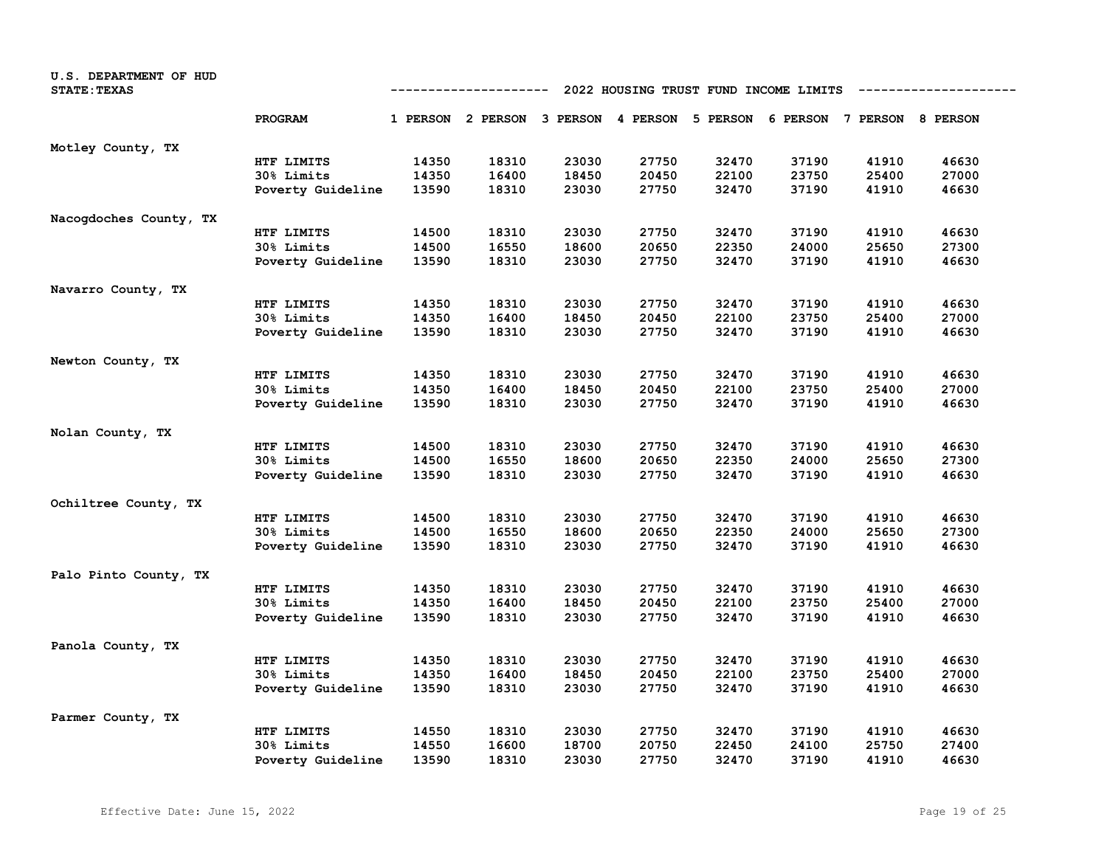| U.S. DEPARTMENT OF HUD<br><b>STATE: TEXAS</b> |                   | 2022 HOUSING TRUST FUND INCOME LIMITS<br>---------- |                                                                         |       |       |       |       |       |       |
|-----------------------------------------------|-------------------|-----------------------------------------------------|-------------------------------------------------------------------------|-------|-------|-------|-------|-------|-------|
|                                               | PROGRAM           |                                                     | 1 PERSON 2 PERSON 3 PERSON 4 PERSON 5 PERSON 6 PERSON 7 PERSON 8 PERSON |       |       |       |       |       |       |
| Motley County, TX                             |                   |                                                     |                                                                         |       |       |       |       |       |       |
|                                               | HTF LIMITS        | 14350                                               | 18310                                                                   | 23030 | 27750 | 32470 | 37190 | 41910 | 46630 |
|                                               | 30% Limits        | 14350                                               | 16400                                                                   | 18450 | 20450 | 22100 | 23750 | 25400 | 27000 |
|                                               | Poverty Guideline | 13590                                               | 18310                                                                   | 23030 | 27750 | 32470 | 37190 | 41910 | 46630 |
| Nacogdoches County, TX                        |                   |                                                     |                                                                         |       |       |       |       |       |       |
|                                               | HTF LIMITS        | 14500                                               | 18310                                                                   | 23030 | 27750 | 32470 | 37190 | 41910 | 46630 |
|                                               | 30% Limits        | 14500                                               | 16550                                                                   | 18600 | 20650 | 22350 | 24000 | 25650 | 27300 |
|                                               | Poverty Guideline | 13590                                               | 18310                                                                   | 23030 | 27750 | 32470 | 37190 | 41910 | 46630 |
| Navarro County, TX                            |                   |                                                     |                                                                         |       |       |       |       |       |       |
|                                               | HTF LIMITS        | 14350                                               | 18310                                                                   | 23030 | 27750 | 32470 | 37190 | 41910 | 46630 |
|                                               | 30% Limits        | 14350                                               | 16400                                                                   | 18450 | 20450 | 22100 | 23750 | 25400 | 27000 |
|                                               | Poverty Guideline | 13590                                               | 18310                                                                   | 23030 | 27750 | 32470 | 37190 | 41910 | 46630 |
| Newton County, TX                             |                   |                                                     |                                                                         |       |       |       |       |       |       |
|                                               | HTF LIMITS        | 14350                                               | 18310                                                                   | 23030 | 27750 | 32470 | 37190 | 41910 | 46630 |
|                                               | 30% Limits        | 14350                                               | 16400                                                                   | 18450 | 20450 | 22100 | 23750 | 25400 | 27000 |
|                                               | Poverty Guideline | 13590                                               | 18310                                                                   | 23030 | 27750 | 32470 | 37190 | 41910 | 46630 |
| Nolan County, TX                              |                   |                                                     |                                                                         |       |       |       |       |       |       |
|                                               | HTF LIMITS        | 14500                                               | 18310                                                                   | 23030 | 27750 | 32470 | 37190 | 41910 | 46630 |
|                                               | 30% Limits        | 14500                                               | 16550                                                                   | 18600 | 20650 | 22350 | 24000 | 25650 | 27300 |
|                                               | Poverty Guideline | 13590                                               | 18310                                                                   | 23030 | 27750 | 32470 | 37190 | 41910 | 46630 |
| Ochiltree County, TX                          |                   |                                                     |                                                                         |       |       |       |       |       |       |
|                                               | HTF LIMITS        | 14500                                               | 18310                                                                   | 23030 | 27750 | 32470 | 37190 | 41910 | 46630 |
|                                               | 30% Limits        | 14500                                               | 16550                                                                   | 18600 | 20650 | 22350 | 24000 | 25650 | 27300 |
|                                               | Poverty Guideline | 13590                                               | 18310                                                                   | 23030 | 27750 | 32470 | 37190 | 41910 | 46630 |
| Palo Pinto County, TX                         |                   |                                                     |                                                                         |       |       |       |       |       |       |
|                                               | HTF LIMITS        | 14350                                               | 18310                                                                   | 23030 | 27750 | 32470 | 37190 | 41910 | 46630 |
|                                               | 30% Limits        | 14350                                               | 16400                                                                   | 18450 | 20450 | 22100 | 23750 | 25400 | 27000 |
|                                               | Poverty Guideline | 13590                                               | 18310                                                                   | 23030 | 27750 | 32470 | 37190 | 41910 | 46630 |
| Panola County, TX                             |                   |                                                     |                                                                         |       |       |       |       |       |       |
|                                               | HTF LIMITS        | 14350                                               | 18310                                                                   | 23030 | 27750 | 32470 | 37190 | 41910 | 46630 |
|                                               | 30% Limits        | 14350                                               | 16400                                                                   | 18450 | 20450 | 22100 | 23750 | 25400 | 27000 |
|                                               | Poverty Guideline | 13590                                               | 18310                                                                   | 23030 | 27750 | 32470 | 37190 | 41910 | 46630 |
| Parmer County, TX                             |                   |                                                     |                                                                         |       |       |       |       |       |       |
|                                               | HTF LIMITS        | 14550                                               | 18310                                                                   | 23030 | 27750 | 32470 | 37190 | 41910 | 46630 |
|                                               | 30% Limits        | 14550                                               | 16600                                                                   | 18700 | 20750 | 22450 | 24100 | 25750 | 27400 |
|                                               | Poverty Guideline | 13590                                               | 18310                                                                   | 23030 | 27750 | 32470 | 37190 | 41910 | 46630 |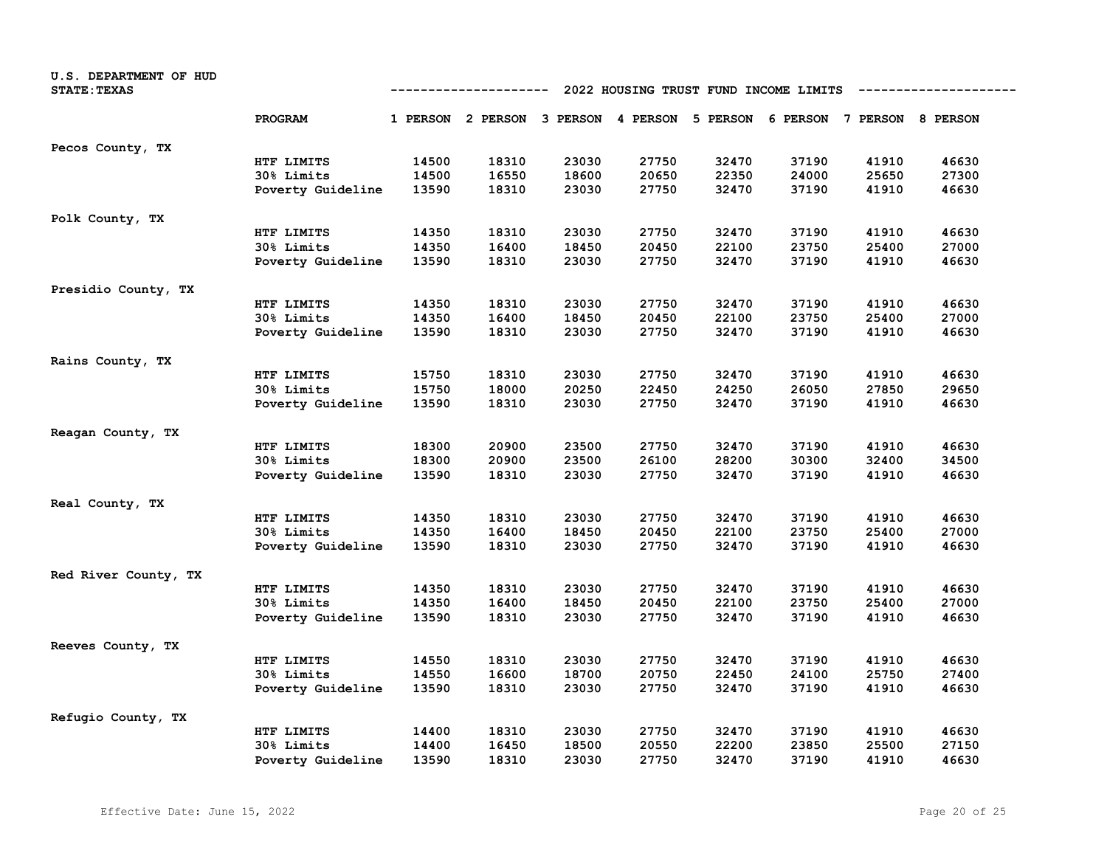| U.S. DEPARTMENT OF HUD<br><b>STATE: TEXAS</b> |                   | 2022 HOUSING TRUST FUND INCOME LIMITS<br>-----------------<br>---------- |       |       |       |                                                                         |       |       |       |  |  |
|-----------------------------------------------|-------------------|--------------------------------------------------------------------------|-------|-------|-------|-------------------------------------------------------------------------|-------|-------|-------|--|--|
|                                               | PROGRAM           |                                                                          |       |       |       | 1 PERSON 2 PERSON 3 PERSON 4 PERSON 5 PERSON 6 PERSON 7 PERSON 8 PERSON |       |       |       |  |  |
| Pecos County, TX                              |                   |                                                                          |       |       |       |                                                                         |       |       |       |  |  |
|                                               | HTF LIMITS        | 14500                                                                    | 18310 | 23030 | 27750 | 32470                                                                   | 37190 | 41910 | 46630 |  |  |
|                                               | 30% Limits        | 14500                                                                    | 16550 | 18600 | 20650 | 22350                                                                   | 24000 | 25650 | 27300 |  |  |
|                                               | Poverty Guideline | 13590                                                                    | 18310 | 23030 | 27750 | 32470                                                                   | 37190 | 41910 | 46630 |  |  |
| Polk County, TX                               |                   |                                                                          |       |       |       |                                                                         |       |       |       |  |  |
|                                               | HTF LIMITS        | 14350                                                                    | 18310 | 23030 | 27750 | 32470                                                                   | 37190 | 41910 | 46630 |  |  |
|                                               | 30% Limits        | 14350                                                                    | 16400 | 18450 | 20450 | 22100                                                                   | 23750 | 25400 | 27000 |  |  |
|                                               | Poverty Guideline | 13590                                                                    | 18310 | 23030 | 27750 | 32470                                                                   | 37190 | 41910 | 46630 |  |  |
| Presidio County, TX                           |                   |                                                                          |       |       |       |                                                                         |       |       |       |  |  |
|                                               | HTF LIMITS        | 14350                                                                    | 18310 | 23030 | 27750 | 32470                                                                   | 37190 | 41910 | 46630 |  |  |
|                                               | 30% Limits        | 14350                                                                    | 16400 | 18450 | 20450 | 22100                                                                   | 23750 | 25400 | 27000 |  |  |
|                                               | Poverty Guideline | 13590                                                                    | 18310 | 23030 | 27750 | 32470                                                                   | 37190 | 41910 | 46630 |  |  |
| Rains County, TX                              |                   |                                                                          |       |       |       |                                                                         |       |       |       |  |  |
|                                               | HTF LIMITS        | 15750                                                                    | 18310 | 23030 | 27750 | 32470                                                                   | 37190 | 41910 | 46630 |  |  |
|                                               | 30% Limits        | 15750                                                                    | 18000 | 20250 | 22450 | 24250                                                                   | 26050 | 27850 | 29650 |  |  |
|                                               | Poverty Guideline | 13590                                                                    | 18310 | 23030 | 27750 | 32470                                                                   | 37190 | 41910 | 46630 |  |  |
| Reagan County, TX                             |                   |                                                                          |       |       |       |                                                                         |       |       |       |  |  |
|                                               | HTF LIMITS        | 18300                                                                    | 20900 | 23500 | 27750 | 32470                                                                   | 37190 | 41910 | 46630 |  |  |
|                                               | 30% Limits        | 18300                                                                    | 20900 | 23500 | 26100 | 28200                                                                   | 30300 | 32400 | 34500 |  |  |
|                                               | Poverty Guideline | 13590                                                                    | 18310 | 23030 | 27750 | 32470                                                                   | 37190 | 41910 | 46630 |  |  |
| Real County, TX                               |                   |                                                                          |       |       |       |                                                                         |       |       |       |  |  |
|                                               | HTF LIMITS        | 14350                                                                    | 18310 | 23030 | 27750 | 32470                                                                   | 37190 | 41910 | 46630 |  |  |
|                                               | 30% Limits        | 14350                                                                    | 16400 | 18450 | 20450 | 22100                                                                   | 23750 | 25400 | 27000 |  |  |
|                                               | Poverty Guideline | 13590                                                                    | 18310 | 23030 | 27750 | 32470                                                                   | 37190 | 41910 | 46630 |  |  |
| Red River County, TX                          |                   |                                                                          |       |       |       |                                                                         |       |       |       |  |  |
|                                               | HTF LIMITS        | 14350                                                                    | 18310 | 23030 | 27750 | 32470                                                                   | 37190 | 41910 | 46630 |  |  |
|                                               | 30% Limits        | 14350                                                                    | 16400 | 18450 | 20450 | 22100                                                                   | 23750 | 25400 | 27000 |  |  |
|                                               | Poverty Guideline | 13590                                                                    | 18310 | 23030 | 27750 | 32470                                                                   | 37190 | 41910 | 46630 |  |  |
| Reeves County, TX                             |                   |                                                                          |       |       |       |                                                                         |       |       |       |  |  |
|                                               | HTF LIMITS        | 14550                                                                    | 18310 | 23030 | 27750 | 32470                                                                   | 37190 | 41910 | 46630 |  |  |
|                                               | 30% Limits        | 14550                                                                    | 16600 | 18700 | 20750 | 22450                                                                   | 24100 | 25750 | 27400 |  |  |
|                                               | Poverty Guideline | 13590                                                                    | 18310 | 23030 | 27750 | 32470                                                                   | 37190 | 41910 | 46630 |  |  |
| Refugio County, TX                            |                   |                                                                          |       |       |       |                                                                         |       |       |       |  |  |
|                                               | HTF LIMITS        | 14400                                                                    | 18310 | 23030 | 27750 | 32470                                                                   | 37190 | 41910 | 46630 |  |  |
|                                               | 30% Limits        | 14400                                                                    | 16450 | 18500 | 20550 | 22200                                                                   | 23850 | 25500 | 27150 |  |  |
|                                               | Poverty Guideline | 13590                                                                    | 18310 | 23030 | 27750 | 32470                                                                   | 37190 | 41910 | 46630 |  |  |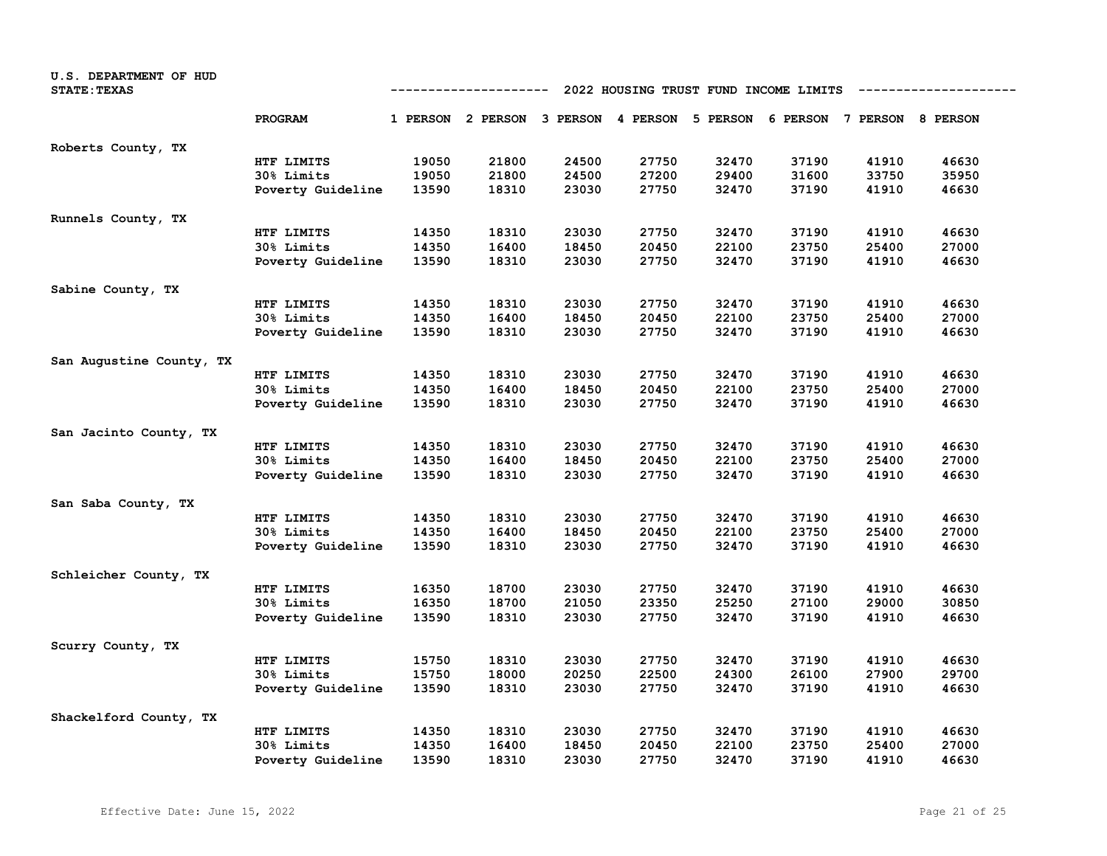| U.S. DEPARTMENT OF HUD<br><b>STATE: TEXAS</b> | 2022 HOUSING TRUST FUND INCOME LIMITS<br>-----------------<br>---------- |       |                                              |       |       |       |       |                            |       |
|-----------------------------------------------|--------------------------------------------------------------------------|-------|----------------------------------------------|-------|-------|-------|-------|----------------------------|-------|
|                                               | PROGRAM                                                                  |       | 1 PERSON 2 PERSON 3 PERSON 4 PERSON 5 PERSON |       |       |       |       | 6 PERSON 7 PERSON 8 PERSON |       |
| Roberts County, TX                            |                                                                          |       |                                              |       |       |       |       |                            |       |
|                                               | HTF LIMITS                                                               | 19050 | 21800                                        | 24500 | 27750 | 32470 | 37190 | 41910                      | 46630 |
|                                               | 30% Limits                                                               | 19050 | 21800                                        | 24500 | 27200 | 29400 | 31600 | 33750                      | 35950 |
|                                               | Poverty Guideline                                                        | 13590 | 18310                                        | 23030 | 27750 | 32470 | 37190 | 41910                      | 46630 |
| Runnels County, TX                            |                                                                          |       |                                              |       |       |       |       |                            |       |
|                                               | HTF LIMITS                                                               | 14350 | 18310                                        | 23030 | 27750 | 32470 | 37190 | 41910                      | 46630 |
|                                               | 30% Limits                                                               | 14350 | 16400                                        | 18450 | 20450 | 22100 | 23750 | 25400                      | 27000 |
|                                               | Poverty Guideline                                                        | 13590 | 18310                                        | 23030 | 27750 | 32470 | 37190 | 41910                      | 46630 |
| Sabine County, TX                             |                                                                          |       |                                              |       |       |       |       |                            |       |
|                                               | HTF LIMITS                                                               | 14350 | 18310                                        | 23030 | 27750 | 32470 | 37190 | 41910                      | 46630 |
|                                               | 30% Limits                                                               | 14350 | 16400                                        | 18450 | 20450 | 22100 | 23750 | 25400                      | 27000 |
|                                               | Poverty Guideline                                                        | 13590 | 18310                                        | 23030 | 27750 | 32470 | 37190 | 41910                      | 46630 |
| San Augustine County, TX                      |                                                                          |       |                                              |       |       |       |       |                            |       |
|                                               | HTF LIMITS                                                               | 14350 | 18310                                        | 23030 | 27750 | 32470 | 37190 | 41910                      | 46630 |
|                                               | 30% Limits                                                               | 14350 | 16400                                        | 18450 | 20450 | 22100 | 23750 | 25400                      | 27000 |
|                                               | Poverty Guideline                                                        | 13590 | 18310                                        | 23030 | 27750 | 32470 | 37190 | 41910                      | 46630 |
| San Jacinto County, TX                        |                                                                          |       |                                              |       |       |       |       |                            |       |
|                                               | HTF LIMITS                                                               | 14350 | 18310                                        | 23030 | 27750 | 32470 | 37190 | 41910                      | 46630 |
|                                               | 30% Limits                                                               | 14350 | 16400                                        | 18450 | 20450 | 22100 | 23750 | 25400                      | 27000 |
|                                               | Poverty Guideline                                                        | 13590 | 18310                                        | 23030 | 27750 | 32470 | 37190 | 41910                      | 46630 |
| San Saba County, TX                           |                                                                          |       |                                              |       |       |       |       |                            |       |
|                                               | HTF LIMITS                                                               | 14350 | 18310                                        | 23030 | 27750 | 32470 | 37190 | 41910                      | 46630 |
|                                               | 30% Limits                                                               | 14350 | 16400                                        | 18450 | 20450 | 22100 | 23750 | 25400                      | 27000 |
|                                               | Poverty Guideline                                                        | 13590 | 18310                                        | 23030 | 27750 | 32470 | 37190 | 41910                      | 46630 |
| Schleicher County, TX                         |                                                                          |       |                                              |       |       |       |       |                            |       |
|                                               | HTF LIMITS                                                               | 16350 | 18700                                        | 23030 | 27750 | 32470 | 37190 | 41910                      | 46630 |
|                                               | 30% Limits                                                               | 16350 | 18700                                        | 21050 | 23350 | 25250 | 27100 | 29000                      | 30850 |
|                                               | Poverty Guideline                                                        | 13590 | 18310                                        | 23030 | 27750 | 32470 | 37190 | 41910                      | 46630 |
| Scurry County, TX                             |                                                                          |       |                                              |       |       |       |       |                            |       |
|                                               | HTF LIMITS                                                               | 15750 | 18310                                        | 23030 | 27750 | 32470 | 37190 | 41910                      | 46630 |
|                                               | 30% Limits                                                               | 15750 | 18000                                        | 20250 | 22500 | 24300 | 26100 | 27900                      | 29700 |
|                                               | Poverty Guideline                                                        | 13590 | 18310                                        | 23030 | 27750 | 32470 | 37190 | 41910                      | 46630 |
| Shackelford County, TX                        |                                                                          |       |                                              |       |       |       |       |                            |       |
|                                               | HTF LIMITS                                                               | 14350 | 18310                                        | 23030 | 27750 | 32470 | 37190 | 41910                      | 46630 |
|                                               | 30% Limits                                                               | 14350 | 16400                                        | 18450 | 20450 | 22100 | 23750 | 25400                      | 27000 |
|                                               | Poverty Guideline                                                        | 13590 | 18310                                        | 23030 | 27750 | 32470 | 37190 | 41910                      | 46630 |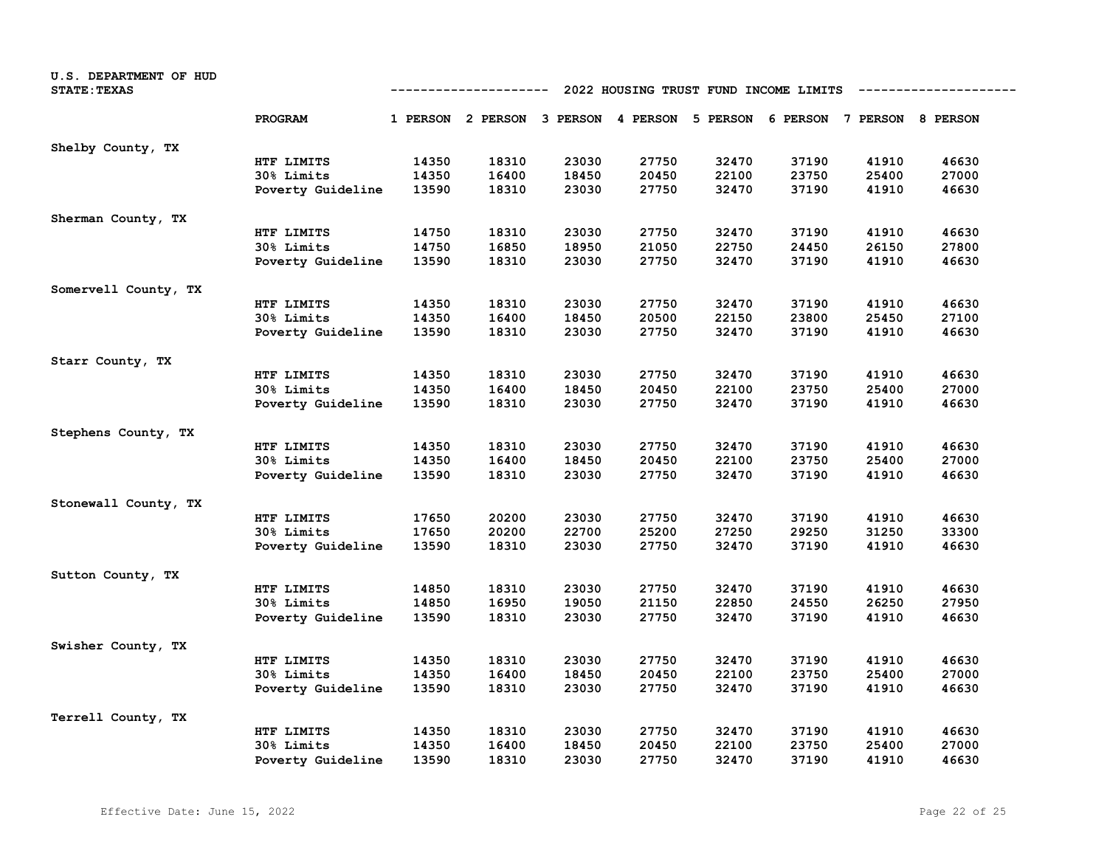| U.S. DEPARTMENT OF HUD<br><b>STATE: TEXAS</b> | 2022 HOUSING TRUST FUND INCOME LIMITS<br>-----------------<br>---------- |       |                                                                         |       |       |       |       |       |       |  |  |
|-----------------------------------------------|--------------------------------------------------------------------------|-------|-------------------------------------------------------------------------|-------|-------|-------|-------|-------|-------|--|--|
|                                               | PROGRAM                                                                  |       | 1 PERSON 2 PERSON 3 PERSON 4 PERSON 5 PERSON 6 PERSON 7 PERSON 8 PERSON |       |       |       |       |       |       |  |  |
| Shelby County, TX                             |                                                                          |       |                                                                         |       |       |       |       |       |       |  |  |
|                                               | HTF LIMITS                                                               | 14350 | 18310                                                                   | 23030 | 27750 | 32470 | 37190 | 41910 | 46630 |  |  |
|                                               | 30% Limits                                                               | 14350 | 16400                                                                   | 18450 | 20450 | 22100 | 23750 | 25400 | 27000 |  |  |
|                                               | Poverty Guideline                                                        | 13590 | 18310                                                                   | 23030 | 27750 | 32470 | 37190 | 41910 | 46630 |  |  |
| Sherman County, TX                            |                                                                          |       |                                                                         |       |       |       |       |       |       |  |  |
|                                               | HTF LIMITS                                                               | 14750 | 18310                                                                   | 23030 | 27750 | 32470 | 37190 | 41910 | 46630 |  |  |
|                                               | 30% Limits                                                               | 14750 | 16850                                                                   | 18950 | 21050 | 22750 | 24450 | 26150 | 27800 |  |  |
|                                               | Poverty Guideline                                                        | 13590 | 18310                                                                   | 23030 | 27750 | 32470 | 37190 | 41910 | 46630 |  |  |
| Somervell County, TX                          |                                                                          |       |                                                                         |       |       |       |       |       |       |  |  |
|                                               | HTF LIMITS                                                               | 14350 | 18310                                                                   | 23030 | 27750 | 32470 | 37190 | 41910 | 46630 |  |  |
|                                               | 30% Limits                                                               | 14350 | 16400                                                                   | 18450 | 20500 | 22150 | 23800 | 25450 | 27100 |  |  |
|                                               | Poverty Guideline                                                        | 13590 | 18310                                                                   | 23030 | 27750 | 32470 | 37190 | 41910 | 46630 |  |  |
| Starr County, TX                              |                                                                          |       |                                                                         |       |       |       |       |       |       |  |  |
|                                               | HTF LIMITS                                                               | 14350 | 18310                                                                   | 23030 | 27750 | 32470 | 37190 | 41910 | 46630 |  |  |
|                                               | 30% Limits                                                               | 14350 | 16400                                                                   | 18450 | 20450 | 22100 | 23750 | 25400 | 27000 |  |  |
|                                               | Poverty Guideline                                                        | 13590 | 18310                                                                   | 23030 | 27750 | 32470 | 37190 | 41910 | 46630 |  |  |
| Stephens County, TX                           |                                                                          |       |                                                                         |       |       |       |       |       |       |  |  |
|                                               | HTF LIMITS                                                               | 14350 | 18310                                                                   | 23030 | 27750 | 32470 | 37190 | 41910 | 46630 |  |  |
|                                               | 30% Limits                                                               | 14350 | 16400                                                                   | 18450 | 20450 | 22100 | 23750 | 25400 | 27000 |  |  |
|                                               | Poverty Guideline                                                        | 13590 | 18310                                                                   | 23030 | 27750 | 32470 | 37190 | 41910 | 46630 |  |  |
| Stonewall County, TX                          |                                                                          |       |                                                                         |       |       |       |       |       |       |  |  |
|                                               | HTF LIMITS                                                               | 17650 | 20200                                                                   | 23030 | 27750 | 32470 | 37190 | 41910 | 46630 |  |  |
|                                               | 30% Limits                                                               | 17650 | 20200                                                                   | 22700 | 25200 | 27250 | 29250 | 31250 | 33300 |  |  |
|                                               | Poverty Guideline                                                        | 13590 | 18310                                                                   | 23030 | 27750 | 32470 | 37190 | 41910 | 46630 |  |  |
| Sutton County, TX                             |                                                                          |       |                                                                         |       |       |       |       |       |       |  |  |
|                                               | HTF LIMITS                                                               | 14850 | 18310                                                                   | 23030 | 27750 | 32470 | 37190 | 41910 | 46630 |  |  |
|                                               | 30% Limits                                                               | 14850 | 16950                                                                   | 19050 | 21150 | 22850 | 24550 | 26250 | 27950 |  |  |
|                                               | Poverty Guideline                                                        | 13590 | 18310                                                                   | 23030 | 27750 | 32470 | 37190 | 41910 | 46630 |  |  |
| Swisher County, TX                            |                                                                          |       |                                                                         |       |       |       |       |       |       |  |  |
|                                               | HTF LIMITS                                                               | 14350 | 18310                                                                   | 23030 | 27750 | 32470 | 37190 | 41910 | 46630 |  |  |
|                                               | 30% Limits                                                               | 14350 | 16400                                                                   | 18450 | 20450 | 22100 | 23750 | 25400 | 27000 |  |  |
|                                               | Poverty Guideline                                                        | 13590 | 18310                                                                   | 23030 | 27750 | 32470 | 37190 | 41910 | 46630 |  |  |
| Terrell County, TX                            |                                                                          |       |                                                                         |       |       |       |       |       |       |  |  |
|                                               | HTF LIMITS                                                               | 14350 | 18310                                                                   | 23030 | 27750 | 32470 | 37190 | 41910 | 46630 |  |  |
|                                               | 30% Limits                                                               | 14350 | 16400                                                                   | 18450 | 20450 | 22100 | 23750 | 25400 | 27000 |  |  |
|                                               | Poverty Guideline                                                        | 13590 | 18310                                                                   | 23030 | 27750 | 32470 | 37190 | 41910 | 46630 |  |  |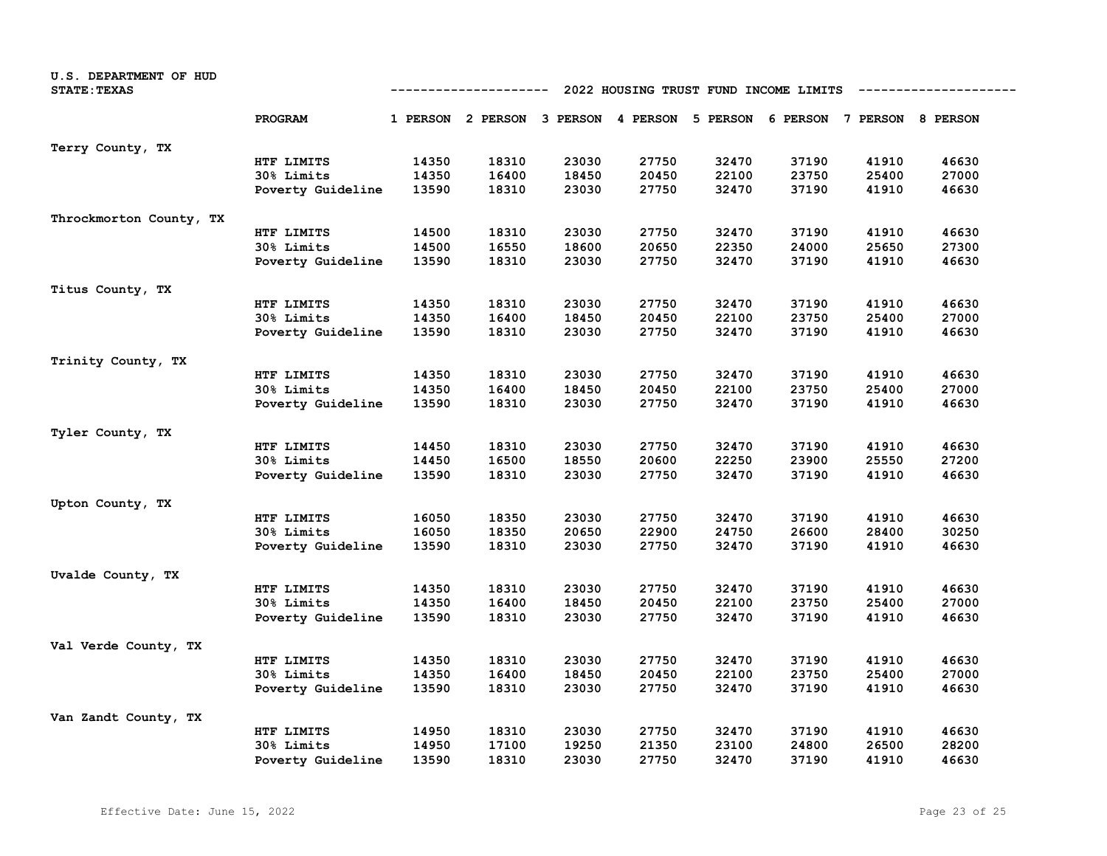| U.S. DEPARTMENT OF HUD<br><b>STATE: TEXAS</b> | 2022 HOUSING TRUST FUND INCOME LIMITS<br>---------------- |       |                                     |       |       |                                     |       |       |       |  |
|-----------------------------------------------|-----------------------------------------------------------|-------|-------------------------------------|-------|-------|-------------------------------------|-------|-------|-------|--|
|                                               | PROGRAM                                                   |       | 1 PERSON 2 PERSON 3 PERSON 4 PERSON |       |       | 5 PERSON 6 PERSON 7 PERSON 8 PERSON |       |       |       |  |
| Terry County, TX                              |                                                           |       |                                     |       |       |                                     |       |       |       |  |
|                                               | HTF LIMITS                                                | 14350 | 18310                               | 23030 | 27750 | 32470                               | 37190 | 41910 | 46630 |  |
|                                               | 30% Limits                                                | 14350 | 16400                               | 18450 | 20450 | 22100                               | 23750 | 25400 | 27000 |  |
|                                               | Poverty Guideline                                         | 13590 | 18310                               | 23030 | 27750 | 32470                               | 37190 | 41910 | 46630 |  |
| Throckmorton County, TX                       |                                                           |       |                                     |       |       |                                     |       |       |       |  |
|                                               | HTF LIMITS                                                | 14500 | 18310                               | 23030 | 27750 | 32470                               | 37190 | 41910 | 46630 |  |
|                                               | 30% Limits                                                | 14500 | 16550                               | 18600 | 20650 | 22350                               | 24000 | 25650 | 27300 |  |
|                                               | Poverty Guideline                                         | 13590 | 18310                               | 23030 | 27750 | 32470                               | 37190 | 41910 | 46630 |  |
| Titus County, TX                              |                                                           |       |                                     |       |       |                                     |       |       |       |  |
|                                               | HTF LIMITS                                                | 14350 | 18310                               | 23030 | 27750 | 32470                               | 37190 | 41910 | 46630 |  |
|                                               | 30% Limits                                                | 14350 | 16400                               | 18450 | 20450 | 22100                               | 23750 | 25400 | 27000 |  |
|                                               | Poverty Guideline                                         | 13590 | 18310                               | 23030 | 27750 | 32470                               | 37190 | 41910 | 46630 |  |
| Trinity County, TX                            |                                                           |       |                                     |       |       |                                     |       |       |       |  |
|                                               | HTF LIMITS                                                | 14350 | 18310                               | 23030 | 27750 | 32470                               | 37190 | 41910 | 46630 |  |
|                                               | 30% Limits                                                | 14350 | 16400                               | 18450 | 20450 | 22100                               | 23750 | 25400 | 27000 |  |
|                                               | Poverty Guideline                                         | 13590 | 18310                               | 23030 | 27750 | 32470                               | 37190 | 41910 | 46630 |  |
| Tyler County, TX                              |                                                           |       |                                     |       |       |                                     |       |       |       |  |
|                                               | HTF LIMITS                                                | 14450 | 18310                               | 23030 | 27750 | 32470                               | 37190 | 41910 | 46630 |  |
|                                               | 30% Limits                                                | 14450 | 16500                               | 18550 | 20600 | 22250                               | 23900 | 25550 | 27200 |  |
|                                               | Poverty Guideline                                         | 13590 | 18310                               | 23030 | 27750 | 32470                               | 37190 | 41910 | 46630 |  |
| Upton County, TX                              |                                                           |       |                                     |       |       |                                     |       |       |       |  |
|                                               | HTF LIMITS                                                | 16050 | 18350                               | 23030 | 27750 | 32470                               | 37190 | 41910 | 46630 |  |
|                                               | 30% Limits                                                | 16050 | 18350                               | 20650 | 22900 | 24750                               | 26600 | 28400 | 30250 |  |
|                                               | Poverty Guideline                                         | 13590 | 18310                               | 23030 | 27750 | 32470                               | 37190 | 41910 | 46630 |  |
| Uvalde County, TX                             |                                                           |       |                                     |       |       |                                     |       |       |       |  |
|                                               | HTF LIMITS                                                | 14350 | 18310                               | 23030 | 27750 | 32470                               | 37190 | 41910 | 46630 |  |
|                                               | 30% Limits                                                | 14350 | 16400                               | 18450 | 20450 | 22100                               | 23750 | 25400 | 27000 |  |
|                                               | Poverty Guideline                                         | 13590 | 18310                               | 23030 | 27750 | 32470                               | 37190 | 41910 | 46630 |  |
| Val Verde County, TX                          |                                                           |       |                                     |       |       |                                     |       |       |       |  |
|                                               | HTF LIMITS                                                | 14350 | 18310                               | 23030 | 27750 | 32470                               | 37190 | 41910 | 46630 |  |
|                                               | 30% Limits                                                | 14350 | 16400                               | 18450 | 20450 | 22100                               | 23750 | 25400 | 27000 |  |
|                                               | Poverty Guideline                                         | 13590 | 18310                               | 23030 | 27750 | 32470                               | 37190 | 41910 | 46630 |  |
| Van Zandt County, TX                          |                                                           |       |                                     |       |       |                                     |       |       |       |  |
|                                               | HTF LIMITS                                                | 14950 | 18310                               | 23030 | 27750 | 32470                               | 37190 | 41910 | 46630 |  |
|                                               | 30% Limits                                                | 14950 | 17100                               | 19250 | 21350 | 23100                               | 24800 | 26500 | 28200 |  |
|                                               | Poverty Guideline                                         | 13590 | 18310                               | 23030 | 27750 | 32470                               | 37190 | 41910 | 46630 |  |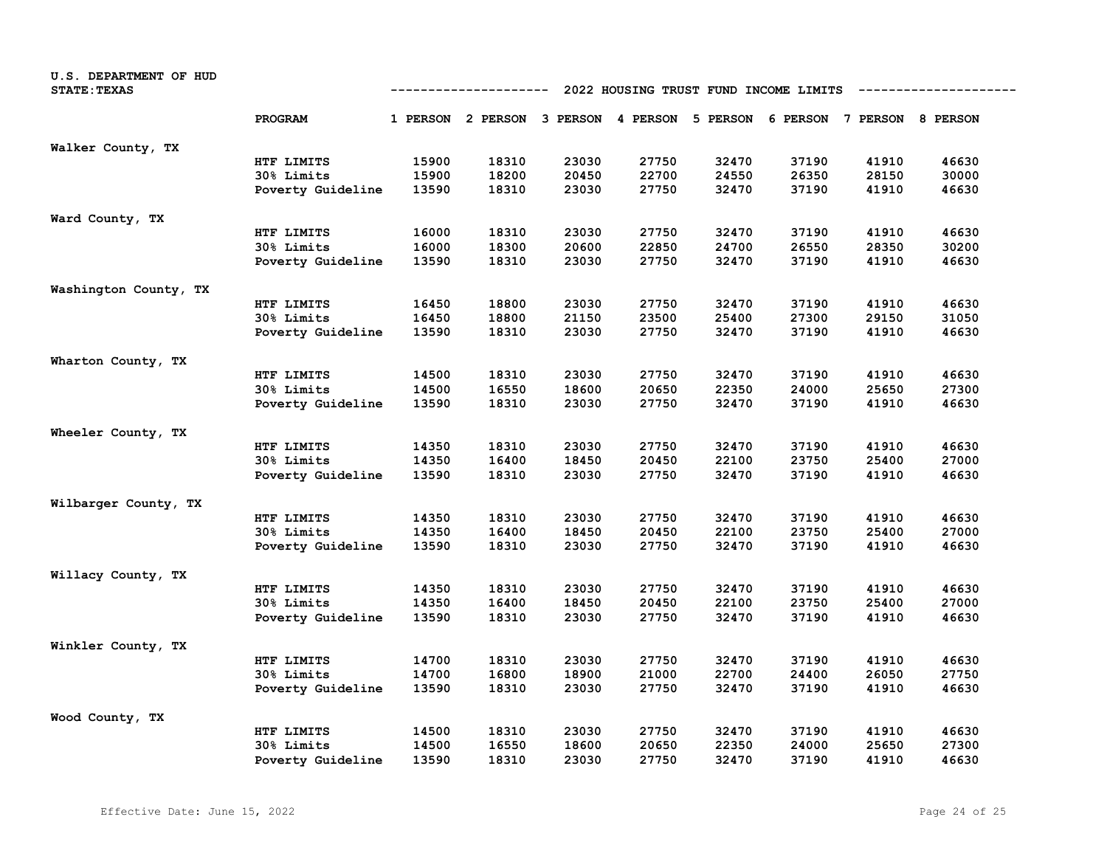| U.S. DEPARTMENT OF HUD<br><b>STATE: TEXAS</b> | 2022 HOUSING TRUST FUND INCOME LIMITS<br>-----------<br>----------------- |       |                                                                         |       |       |       |       |       |       |  |  |
|-----------------------------------------------|---------------------------------------------------------------------------|-------|-------------------------------------------------------------------------|-------|-------|-------|-------|-------|-------|--|--|
|                                               | PROGRAM                                                                   |       | 1 PERSON 2 PERSON 3 PERSON 4 PERSON 5 PERSON 6 PERSON 7 PERSON 8 PERSON |       |       |       |       |       |       |  |  |
| Walker County, TX                             |                                                                           |       |                                                                         |       |       |       |       |       |       |  |  |
|                                               | HTF LIMITS                                                                | 15900 | 18310                                                                   | 23030 | 27750 | 32470 | 37190 | 41910 | 46630 |  |  |
|                                               | 30% Limits                                                                | 15900 | 18200                                                                   | 20450 | 22700 | 24550 | 26350 | 28150 | 30000 |  |  |
|                                               | Poverty Guideline                                                         | 13590 | 18310                                                                   | 23030 | 27750 | 32470 | 37190 | 41910 | 46630 |  |  |
| Ward County, TX                               |                                                                           |       |                                                                         |       |       |       |       |       |       |  |  |
|                                               | HTF LIMITS                                                                | 16000 | 18310                                                                   | 23030 | 27750 | 32470 | 37190 | 41910 | 46630 |  |  |
|                                               | 30% Limits                                                                | 16000 | 18300                                                                   | 20600 | 22850 | 24700 | 26550 | 28350 | 30200 |  |  |
|                                               | Poverty Guideline                                                         | 13590 | 18310                                                                   | 23030 | 27750 | 32470 | 37190 | 41910 | 46630 |  |  |
| Washington County, TX                         |                                                                           |       |                                                                         |       |       |       |       |       |       |  |  |
|                                               | HTF LIMITS                                                                | 16450 | 18800                                                                   | 23030 | 27750 | 32470 | 37190 | 41910 | 46630 |  |  |
|                                               | 30% Limits                                                                | 16450 | 18800                                                                   | 21150 | 23500 | 25400 | 27300 | 29150 | 31050 |  |  |
|                                               | Poverty Guideline                                                         | 13590 | 18310                                                                   | 23030 | 27750 | 32470 | 37190 | 41910 | 46630 |  |  |
| Wharton County, TX                            |                                                                           |       |                                                                         |       |       |       |       |       |       |  |  |
|                                               | HTF LIMITS                                                                | 14500 | 18310                                                                   | 23030 | 27750 | 32470 | 37190 | 41910 | 46630 |  |  |
|                                               | 30% Limits                                                                | 14500 | 16550                                                                   | 18600 | 20650 | 22350 | 24000 | 25650 | 27300 |  |  |
|                                               | Poverty Guideline                                                         | 13590 | 18310                                                                   | 23030 | 27750 | 32470 | 37190 | 41910 | 46630 |  |  |
| Wheeler County, TX                            |                                                                           |       |                                                                         |       |       |       |       |       |       |  |  |
|                                               | HTF LIMITS                                                                | 14350 | 18310                                                                   | 23030 | 27750 | 32470 | 37190 | 41910 | 46630 |  |  |
|                                               | 30% Limits                                                                | 14350 | 16400                                                                   | 18450 | 20450 | 22100 | 23750 | 25400 | 27000 |  |  |
|                                               | Poverty Guideline                                                         | 13590 | 18310                                                                   | 23030 | 27750 | 32470 | 37190 | 41910 | 46630 |  |  |
| Wilbarger County, TX                          |                                                                           |       |                                                                         |       |       |       |       |       |       |  |  |
|                                               | HTF LIMITS                                                                | 14350 | 18310                                                                   | 23030 | 27750 | 32470 | 37190 | 41910 | 46630 |  |  |
|                                               | 30% Limits                                                                | 14350 | 16400                                                                   | 18450 | 20450 | 22100 | 23750 | 25400 | 27000 |  |  |
|                                               | Poverty Guideline                                                         | 13590 | 18310                                                                   | 23030 | 27750 | 32470 | 37190 | 41910 | 46630 |  |  |
| Willacy County, TX                            |                                                                           |       |                                                                         |       |       |       |       |       |       |  |  |
|                                               | HTF LIMITS                                                                | 14350 | 18310                                                                   | 23030 | 27750 | 32470 | 37190 | 41910 | 46630 |  |  |
|                                               | 30% Limits                                                                | 14350 | 16400                                                                   | 18450 | 20450 | 22100 | 23750 | 25400 | 27000 |  |  |
|                                               | Poverty Guideline                                                         | 13590 | 18310                                                                   | 23030 | 27750 | 32470 | 37190 | 41910 | 46630 |  |  |
| Winkler County, TX                            |                                                                           |       |                                                                         |       |       |       |       |       |       |  |  |
|                                               | HTF LIMITS                                                                | 14700 | 18310                                                                   | 23030 | 27750 | 32470 | 37190 | 41910 | 46630 |  |  |
|                                               | 30% Limits                                                                | 14700 | 16800                                                                   | 18900 | 21000 | 22700 | 24400 | 26050 | 27750 |  |  |
|                                               | Poverty Guideline                                                         | 13590 | 18310                                                                   | 23030 | 27750 | 32470 | 37190 | 41910 | 46630 |  |  |
| Wood County, TX                               |                                                                           |       |                                                                         |       |       |       |       |       |       |  |  |
|                                               | HTF LIMITS                                                                | 14500 | 18310                                                                   | 23030 | 27750 | 32470 | 37190 | 41910 | 46630 |  |  |
|                                               | 30% Limits                                                                | 14500 | 16550                                                                   | 18600 | 20650 | 22350 | 24000 | 25650 | 27300 |  |  |
|                                               | Poverty Guideline                                                         | 13590 | 18310                                                                   | 23030 | 27750 | 32470 | 37190 | 41910 | 46630 |  |  |